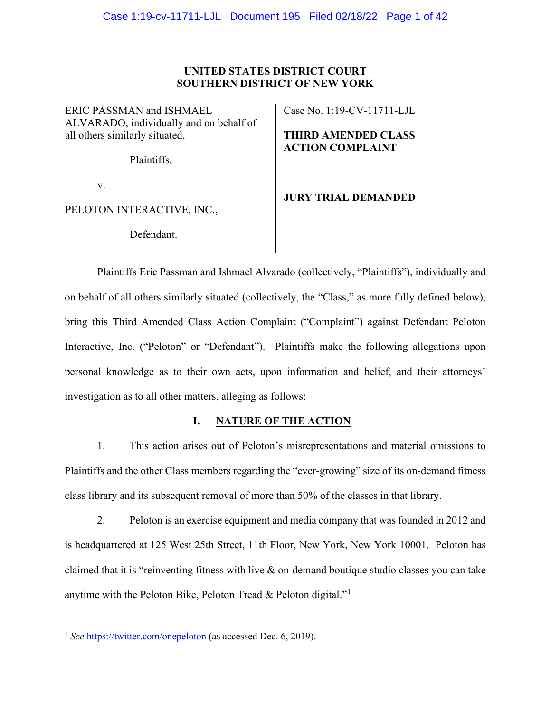## **UNITED STATES DISTRICT COURT SOUTHERN DISTRICT OF NEW YORK**

ERIC PASSMAN and ISHMAEL ALVARADO, individually and on behalf of all others similarly situated,

Plaintiffs,

v.

PELOTON INTERACTIVE, INC.,

Defendant.

Case No. 1:19-CV-11711-LJL

**THIRD AMENDED CLASS ACTION COMPLAINT**

**JURY TRIAL DEMANDED**

Plaintiffs Eric Passman and Ishmael Alvarado (collectively, "Plaintiffs"), individually and on behalf of all others similarly situated (collectively, the "Class," as more fully defined below), bring this Third Amended Class Action Complaint ("Complaint") against Defendant Peloton Interactive, Inc. ("Peloton" or "Defendant"). Plaintiffs make the following allegations upon personal knowledge as to their own acts, upon information and belief, and their attorneys' investigation as to all other matters, alleging as follows:

# **I. NATURE OF THE ACTION**

1. This action arises out of Peloton's misrepresentations and material omissions to Plaintiffs and the other Class members regarding the "ever-growing" size of its on-demand fitness class library and its subsequent removal of more than 50% of the classes in that library.

2. Peloton is an exercise equipment and media company that was founded in 2012 and is headquartered at 125 West 25th Street, 11th Floor, New York, New York 10001. Peloton has claimed that it is "reinventing fitness with live & on-demand boutique studio classes you can take anytime with the Peloton Bike, Peloton Tread & Peloton digital."[1](#page-0-0)

<span id="page-0-0"></span><sup>&</sup>lt;sup>1</sup> *See* <https://twitter.com/onepeloton> (as accessed Dec. 6, 2019).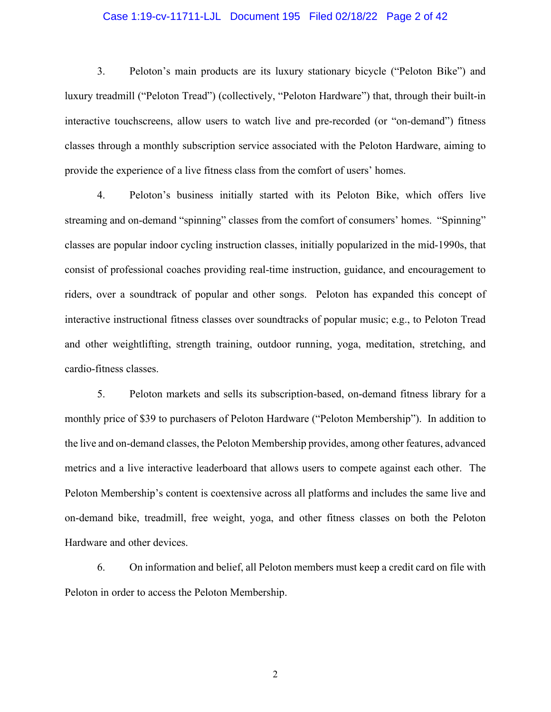## Case 1:19-cv-11711-LJL Document 195 Filed 02/18/22 Page 2 of 42

3. Peloton's main products are its luxury stationary bicycle ("Peloton Bike") and luxury treadmill ("Peloton Tread") (collectively, "Peloton Hardware") that, through their built-in interactive touchscreens, allow users to watch live and pre-recorded (or "on-demand") fitness classes through a monthly subscription service associated with the Peloton Hardware, aiming to provide the experience of a live fitness class from the comfort of users' homes.

4. Peloton's business initially started with its Peloton Bike, which offers live streaming and on-demand "spinning" classes from the comfort of consumers' homes. "Spinning" classes are popular indoor cycling instruction classes, initially popularized in the mid-1990s, that consist of professional coaches providing real-time instruction, guidance, and encouragement to riders, over a soundtrack of popular and other songs. Peloton has expanded this concept of interactive instructional fitness classes over soundtracks of popular music; e.g., to Peloton Tread and other weightlifting, strength training, outdoor running, yoga, meditation, stretching, and cardio-fitness classes.

5. Peloton markets and sells its subscription-based, on-demand fitness library for a monthly price of \$39 to purchasers of Peloton Hardware ("Peloton Membership"). In addition to the live and on-demand classes, the Peloton Membership provides, among other features, advanced metrics and a live interactive leaderboard that allows users to compete against each other. The Peloton Membership's content is coextensive across all platforms and includes the same live and on-demand bike, treadmill, free weight, yoga, and other fitness classes on both the Peloton Hardware and other devices.

6. On information and belief, all Peloton members must keep a credit card on file with Peloton in order to access the Peloton Membership.

2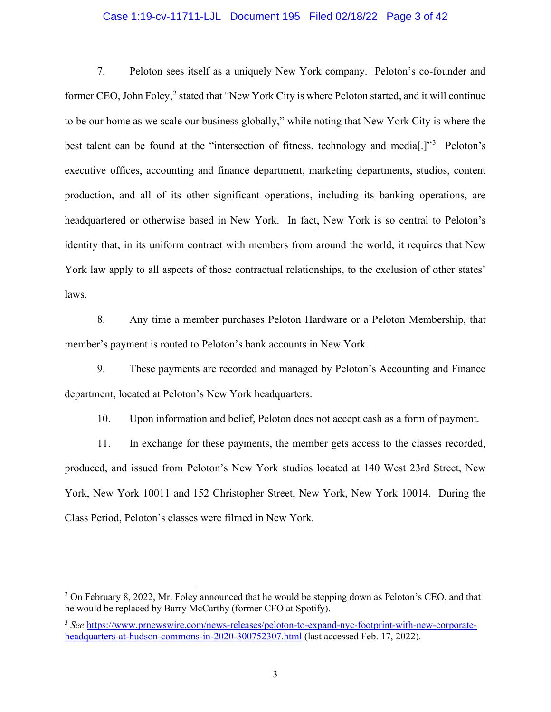## Case 1:19-cv-11711-LJL Document 195 Filed 02/18/22 Page 3 of 42

7. Peloton sees itself as a uniquely New York company. Peloton's co-founder and former CEO, John Foley,<sup>[2](#page-2-0)</sup> stated that "New York City is where Peloton started, and it will continue to be our home as we scale our business globally," while noting that New York City is where the best talent can be found at the "intersection of fitness, technology and media<sup>[1,]"[3](#page-2-1)</sup> Peloton's executive offices, accounting and finance department, marketing departments, studios, content production, and all of its other significant operations, including its banking operations, are headquartered or otherwise based in New York. In fact, New York is so central to Peloton's identity that, in its uniform contract with members from around the world, it requires that New York law apply to all aspects of those contractual relationships, to the exclusion of other states' laws.

8. Any time a member purchases Peloton Hardware or a Peloton Membership, that member's payment is routed to Peloton's bank accounts in New York.

9. These payments are recorded and managed by Peloton's Accounting and Finance department, located at Peloton's New York headquarters.

10. Upon information and belief, Peloton does not accept cash as a form of payment.

11. In exchange for these payments, the member gets access to the classes recorded, produced, and issued from Peloton's New York studios located at 140 West 23rd Street, New York, New York 10011 and 152 Christopher Street, New York, New York 10014. During the Class Period, Peloton's classes were filmed in New York.

<span id="page-2-0"></span><sup>2</sup> On February 8, 2022, Mr. Foley announced that he would be stepping down as Peloton's CEO, and that he would be replaced by Barry McCarthy (former CFO at Spotify).

<span id="page-2-1"></span><sup>3</sup> *See* [https://www.prnewswire.com/news-releases/peloton-to-expand-nyc-footprint-with-new-corporate](https://www.prnewswire.com/news-releases/peloton-to-expand-nyc-footprint-with-new-corporate-headquarters-at-hudson-commons-in-2020-300752307.html)[headquarters-at-hudson-commons-in-2020-300752307.html](https://www.prnewswire.com/news-releases/peloton-to-expand-nyc-footprint-with-new-corporate-headquarters-at-hudson-commons-in-2020-300752307.html) (last accessed Feb. 17, 2022).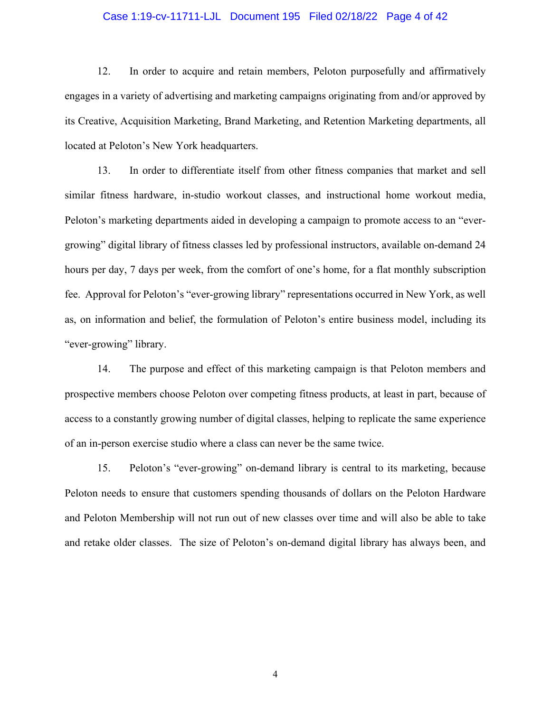## Case 1:19-cv-11711-LJL Document 195 Filed 02/18/22 Page 4 of 42

12. In order to acquire and retain members, Peloton purposefully and affirmatively engages in a variety of advertising and marketing campaigns originating from and/or approved by its Creative, Acquisition Marketing, Brand Marketing, and Retention Marketing departments, all located at Peloton's New York headquarters.

13. In order to differentiate itself from other fitness companies that market and sell similar fitness hardware, in-studio workout classes, and instructional home workout media, Peloton's marketing departments aided in developing a campaign to promote access to an "evergrowing" digital library of fitness classes led by professional instructors, available on-demand 24 hours per day, 7 days per week, from the comfort of one's home, for a flat monthly subscription fee. Approval for Peloton's "ever-growing library" representations occurred in New York, as well as, on information and belief, the formulation of Peloton's entire business model, including its "ever-growing" library.

14. The purpose and effect of this marketing campaign is that Peloton members and prospective members choose Peloton over competing fitness products, at least in part, because of access to a constantly growing number of digital classes, helping to replicate the same experience of an in-person exercise studio where a class can never be the same twice.

15. Peloton's "ever-growing" on-demand library is central to its marketing, because Peloton needs to ensure that customers spending thousands of dollars on the Peloton Hardware and Peloton Membership will not run out of new classes over time and will also be able to take and retake older classes. The size of Peloton's on-demand digital library has always been, and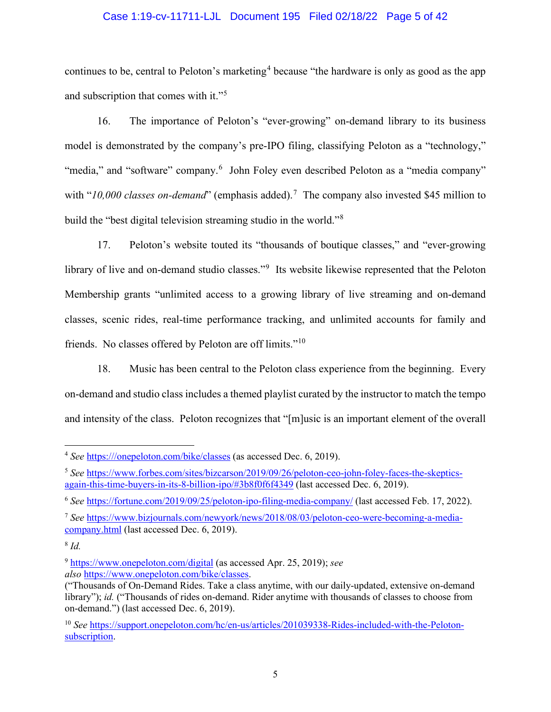## Case 1:19-cv-11711-LJL Document 195 Filed 02/18/22 Page 5 of 42

continues to be, central to Peloton's marketing<sup>[4](#page-4-0)</sup> because "the hardware is only as good as the app and subscription that comes with it."[5](#page-4-1)

16. The importance of Peloton's "ever-growing" on-demand library to its business model is demonstrated by the company's pre-IPO filing, classifying Peloton as a "technology," "media," and "software" company.<sup>[6](#page-4-2)</sup> John Foley even described Peloton as a "media company" with "10,000 classes on-demand" (emphasis added).<sup>[7](#page-4-3)</sup> The company also invested \$45 million to build the "best digital television streaming studio in the world."[8](#page-4-4)

17. Peloton's website touted its "thousands of boutique classes," and "ever-growing library of live and on-demand studio classes."<sup>[9](#page-4-5)</sup> Its website likewise represented that the Peloton Membership grants "unlimited access to a growing library of live streaming and on-demand classes, scenic rides, real-time performance tracking, and unlimited accounts for family and friends. No classes offered by Peloton are off limits."[10](#page-4-6)

18. Music has been central to the Peloton class experience from the beginning. Every on-demand and studio class includes a themed playlist curated by the instructor to match the tempo and intensity of the class. Peloton recognizes that "[m]usic is an important element of the overall

<span id="page-4-0"></span><sup>4</sup> *See* [https:///onepeloton.com/bike/classes](https://onepeloton.com/bike/classes) (as accessed Dec. 6, 2019).

<span id="page-4-1"></span><sup>5</sup> *See* [https://www.forbes.com/sites/bizcarson/2019/09/26/peloton-ceo-john-foley-faces-the-skeptics](https://www.forbes.com/sites/bizcarson/2019/09/26/peloton-ceo-john-foley-faces-the-skeptics-again-this-time-buyers-in-its-8-billion-ipo/%233b8f0f6f4349)[again-this-time-buyers-in-its-8-billion-ipo/#3b8f0f6f4349](https://www.forbes.com/sites/bizcarson/2019/09/26/peloton-ceo-john-foley-faces-the-skeptics-again-this-time-buyers-in-its-8-billion-ipo/%233b8f0f6f4349) (last accessed Dec. 6, 2019).

<span id="page-4-2"></span><sup>6</sup> *See* <https://fortune.com/2019/09/25/peloton-ipo-filing-media-company/> (last accessed Feb. 17, 2022).

<span id="page-4-3"></span><sup>7</sup> *See* [https://www.bizjournals.com/newyork/news/2018/08/03/peloton-ceo-were-becoming-a-media](https://www.bizjournals.com/newyork/news/2018/08/03/peloton-ceo-were-becoming-a-media-company.html)[company.html](https://www.bizjournals.com/newyork/news/2018/08/03/peloton-ceo-were-becoming-a-media-company.html) (last accessed Dec. 6, 2019).

<span id="page-4-4"></span><sup>8</sup> *Id.*

<span id="page-4-5"></span><sup>9</sup> <https://www.onepeloton.com/digital> (as accessed Apr. 25, 2019); *see also* [https://www.onepeloton.com/bike/classes.](https://www.onepeloton.com/bike/classes)

<sup>(&</sup>quot;Thousands of On-Demand Rides. Take a class anytime, with our daily-updated, extensive on-demand library"); *id.* ("Thousands of rides on-demand. Rider anytime with thousands of classes to choose from on-demand.") (last accessed Dec. 6, 2019).

<span id="page-4-6"></span><sup>&</sup>lt;sup>10</sup> See [https://support.onepeloton.com/hc/en-us/articles/201039338-Rides-included-with-the-Peloton](https://support.onepeloton.com/hc/en-us/articles/201039338-Rides-included-with-the-Peloton-subscription)[subscription.](https://support.onepeloton.com/hc/en-us/articles/201039338-Rides-included-with-the-Peloton-subscription)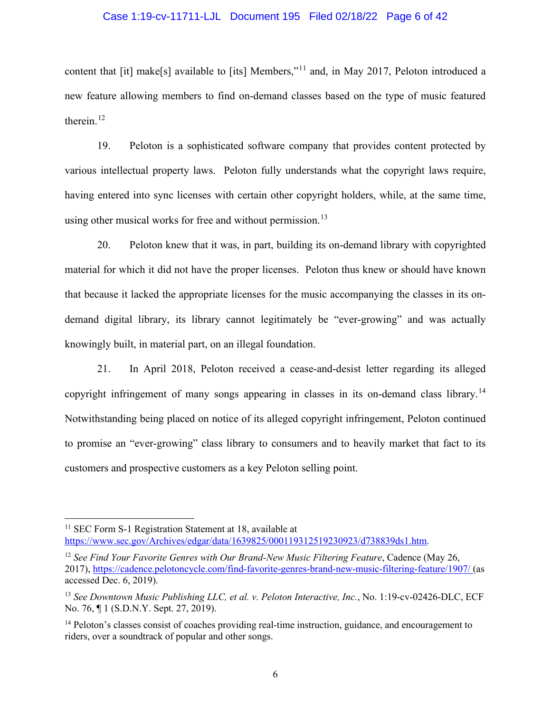## Case 1:19-cv-11711-LJL Document 195 Filed 02/18/22 Page 6 of 42

content that [it] make[s] available to [its] Members,"<sup>[11](#page-5-0)</sup> and, in May 2017, Peloton introduced a new feature allowing members to find on-demand classes based on the type of music featured therein. [12](#page-5-1)

19. Peloton is a sophisticated software company that provides content protected by various intellectual property laws. Peloton fully understands what the copyright laws require, having entered into sync licenses with certain other copyright holders, while, at the same time, using other musical works for free and without permission.<sup>[13](#page-5-2)</sup>

20. Peloton knew that it was, in part, building its on-demand library with copyrighted material for which it did not have the proper licenses. Peloton thus knew or should have known that because it lacked the appropriate licenses for the music accompanying the classes in its ondemand digital library, its library cannot legitimately be "ever-growing" and was actually knowingly built, in material part, on an illegal foundation.

21. In April 2018, Peloton received a cease-and-desist letter regarding its alleged copyright infringement of many songs appearing in classes in its on-demand class library.<sup>[14](#page-5-3)</sup> Notwithstanding being placed on notice of its alleged copyright infringement, Peloton continued to promise an "ever-growing" class library to consumers and to heavily market that fact to its customers and prospective customers as a key Peloton selling point.

<span id="page-5-0"></span><sup>&</sup>lt;sup>11</sup> SEC Form S-1 Registration Statement at 18, available at [https://www.sec.gov/Archives/edgar/data/1639825/000119312519230923/d738839ds1.htm.](https://www.sec.gov/Archives/edgar/data/1639825/000119312519230923/d738839ds1.htm)

<span id="page-5-1"></span><sup>&</sup>lt;sup>12</sup> See Find Your Favorite Genres with Our Brand-New Music Filtering Feature, Cadence (May 26, 2017),<https://cadence.pelotoncycle.com/find-favorite-genres-brand-new-music-filtering-feature/1907/> (as accessed Dec. 6, 2019).

<span id="page-5-2"></span><sup>13</sup> *See Downtown Music Publishing LLC, et al. v. Peloton Interactive, Inc.*, No. 1:19-cv-02426-DLC, ECF No. 76, ¶ 1 (S.D.N.Y. Sept. 27, 2019).

<span id="page-5-3"></span><sup>&</sup>lt;sup>14</sup> Peloton's classes consist of coaches providing real-time instruction, guidance, and encouragement to riders, over a soundtrack of popular and other songs.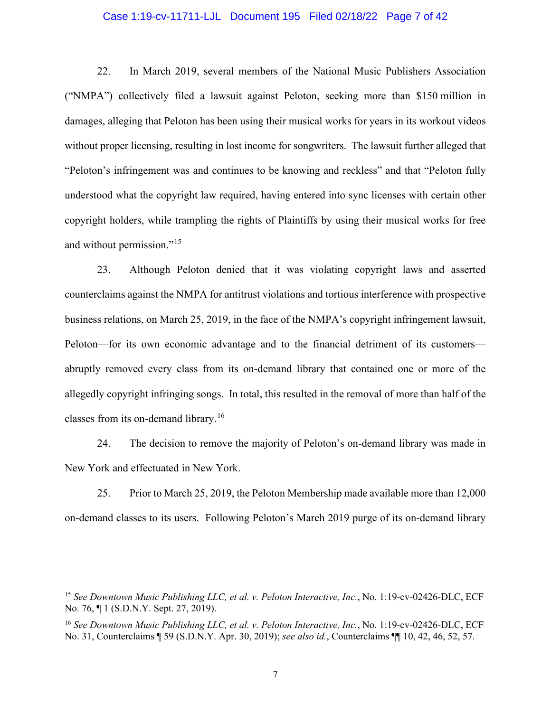## Case 1:19-cv-11711-LJL Document 195 Filed 02/18/22 Page 7 of 42

22. In March 2019, several members of the National Music Publishers Association ("NMPA") collectively filed a lawsuit against Peloton, seeking more than \$150 million in damages, alleging that Peloton has been using their musical works for years in its workout videos without proper licensing, resulting in lost income for songwriters. The lawsuit further alleged that "Peloton's infringement was and continues to be knowing and reckless" and that "Peloton fully understood what the copyright law required, having entered into sync licenses with certain other copyright holders, while trampling the rights of Plaintiffs by using their musical works for free and without permission."[15](#page-6-0)

23. Although Peloton denied that it was violating copyright laws and asserted counterclaims against the NMPA for antitrust violations and tortious interference with prospective business relations, on March 25, 2019, in the face of the NMPA's copyright infringement lawsuit, Peloton—for its own economic advantage and to the financial detriment of its customers abruptly removed every class from its on-demand library that contained one or more of the allegedly copyright infringing songs. In total, this resulted in the removal of more than half of the classes from its on-demand library.<sup>[16](#page-6-1)</sup>

24. The decision to remove the majority of Peloton's on-demand library was made in New York and effectuated in New York.

25. Prior to March 25, 2019, the Peloton Membership made available more than 12,000 on-demand classes to its users. Following Peloton's March 2019 purge of its on-demand library

<span id="page-6-0"></span><sup>15</sup> *See Downtown Music Publishing LLC, et al. v. Peloton Interactive, Inc.*, No. 1:19-cv-02426-DLC, ECF No. 76, ¶ 1 (S.D.N.Y. Sept. 27, 2019).

<span id="page-6-1"></span><sup>16</sup> *See Downtown Music Publishing LLC, et al. v. Peloton Interactive, Inc.*, No. 1:19-cv-02426-DLC, ECF No. 31, Counterclaims ¶ 59 (S.D.N.Y. Apr. 30, 2019); *see also id.*, Counterclaims ¶¶ 10, 42, 46, 52, 57.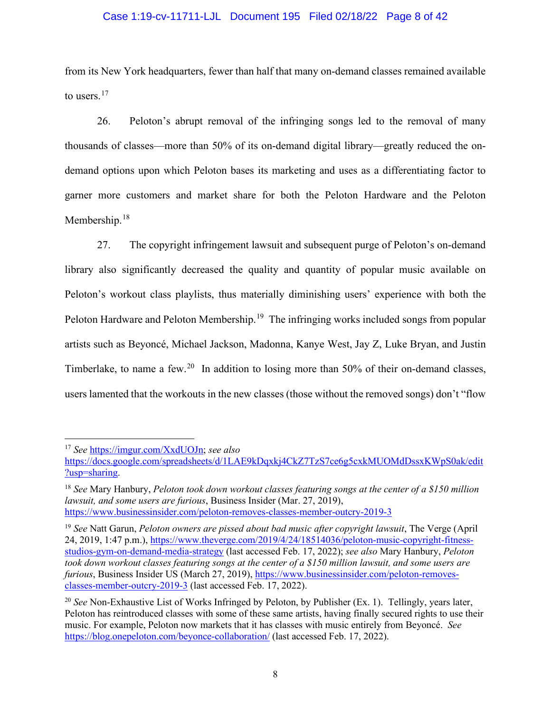## Case 1:19-cv-11711-LJL Document 195 Filed 02/18/22 Page 8 of 42

from its New York headquarters, fewer than half that many on-demand classes remained available to users.<sup>[17](#page-7-0)</sup>

26. Peloton's abrupt removal of the infringing songs led to the removal of many thousands of classes—more than 50% of its on-demand digital library—greatly reduced the ondemand options upon which Peloton bases its marketing and uses as a differentiating factor to garner more customers and market share for both the Peloton Hardware and the Peloton Membership.<sup>[18](#page-7-1)</sup>

27. The copyright infringement lawsuit and subsequent purge of Peloton's on-demand library also significantly decreased the quality and quantity of popular music available on Peloton's workout class playlists, thus materially diminishing users' experience with both the Peloton Hardware and Peloton Membership.<sup>[19](#page-7-2)</sup> The infringing works included songs from popular artists such as Beyoncé, Michael Jackson, Madonna, Kanye West, Jay Z, Luke Bryan, and Justin Timberlake, to name a few.<sup>[20](#page-7-3)</sup> In addition to losing more than 50% of their on-demand classes, users lamented that the workouts in the new classes (those without the removed songs) don't "flow

<span id="page-7-0"></span><sup>17</sup> *See* [https://imgur.com/XxdUOJn;](https://imgur.com/XxdUOJn) *see also*

[https://docs.google.com/spreadsheets/d/1LAE9kDqxkj4CkZ7TzS7ce6g5cxkMUOMdDssxKWpS0ak/edit](https://docs.google.com/spreadsheets/d/1LAE9kDqxkj4CkZ7TzS7ce6g5cxkMUOMdDssxKWpS0ak/edit?usp=sharing) [?usp=sharing.](https://docs.google.com/spreadsheets/d/1LAE9kDqxkj4CkZ7TzS7ce6g5cxkMUOMdDssxKWpS0ak/edit?usp=sharing)

<span id="page-7-1"></span><sup>18</sup> *See* Mary Hanbury, *Peloton took down workout classes featuring songs at the center of a \$150 million lawsuit, and some users are furious*, Business Insider (Mar. 27, 2019), <https://www.businessinsider.com/peloton-removes-classes-member-outcry-2019-3>

<span id="page-7-2"></span><sup>19</sup> *See* Natt Garun, *Peloton owners are pissed about bad music after copyright lawsuit*, The Verge (April 24, 2019, 1:47 p.m.), [https://www.theverge.com/2019/4/24/18514036/peloton-music-copyright-fitness](https://www.theverge.com/2019/4/24/18514036/peloton-music-copyright-fitness-studios-gym-on-demand-media-strategy)[studios-gym-on-demand-media-strategy](https://www.theverge.com/2019/4/24/18514036/peloton-music-copyright-fitness-studios-gym-on-demand-media-strategy) (last accessed Feb. 17, 2022); *see also* Mary Hanbury, *Peloton took down workout classes featuring songs at the center of a \$150 million lawsuit, and some users are furious*, Business Insider US (March 27, 2019), [https://www.businessinsider.com/peloton-removes](https://www.businessinsider.com/peloton-removes-classes-member-outcry-2019-3)[classes-member-outcry-2019-3](https://www.businessinsider.com/peloton-removes-classes-member-outcry-2019-3) (last accessed Feb. 17, 2022).

<span id="page-7-3"></span><sup>20</sup> *See* Non-Exhaustive List of Works Infringed by Peloton, by Publisher (Ex. 1). Tellingly, years later, Peloton has reintroduced classes with some of these same artists, having finally secured rights to use their music. For example, Peloton now markets that it has classes with music entirely from Beyoncé. *See*  <https://blog.onepeloton.com/beyonce-collaboration/> (last accessed Feb. 17, 2022).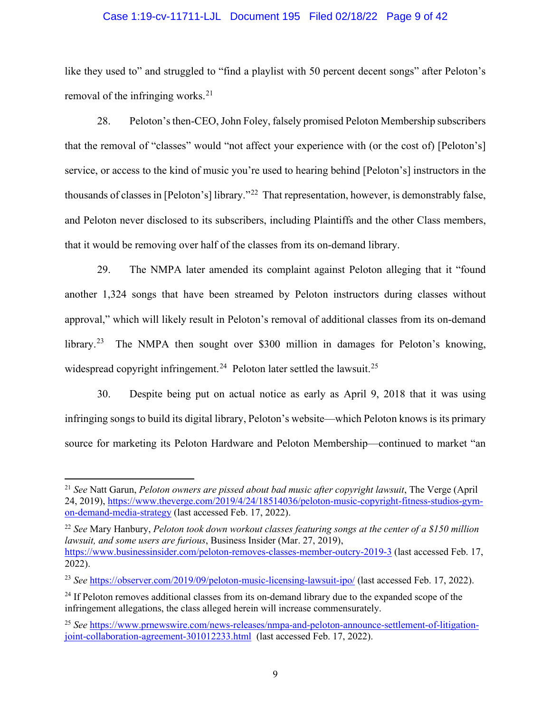## Case 1:19-cv-11711-LJL Document 195 Filed 02/18/22 Page 9 of 42

like they used to" and struggled to "find a playlist with 50 percent decent songs" after Peloton's removal of the infringing works.<sup>[21](#page-8-0)</sup>

28. Peloton's then-CEO,John Foley, falsely promised Peloton Membership subscribers that the removal of "classes" would "not affect your experience with (or the cost of) [Peloton's] service, or access to the kind of music you're used to hearing behind [Peloton's] instructors in the thousands of classes in [Peloton's] library."[22](#page-8-1) That representation, however, is demonstrably false, and Peloton never disclosed to its subscribers, including Plaintiffs and the other Class members, that it would be removing over half of the classes from its on-demand library.

29. The NMPA later amended its complaint against Peloton alleging that it "found another 1,324 songs that have been streamed by Peloton instructors during classes without approval," which will likely result in Peloton's removal of additional classes from its on-demand library.<sup>23</sup> The NMPA then sought over \$300 million in damages for Peloton's knowing, widespread copyright infringement.<sup>[24](#page-8-3)</sup> Peloton later settled the lawsuit.<sup>[25](#page-8-4)</sup>

30. Despite being put on actual notice as early as April 9, 2018 that it was using infringing songs to build its digital library, Peloton's website—which Peloton knows is its primary source for marketing its Peloton Hardware and Peloton Membership—continued to market "an

<span id="page-8-0"></span><sup>21</sup> *See* Natt Garun, *Peloton owners are pissed about bad music after copyright lawsuit*, The Verge (April 24, 2019), [https://www.theverge.com/2019/4/24/18514036/peloton-music-copyright-fitness-studios-gym](https://www.theverge.com/2019/4/24/18514036/peloton-music-copyright-fitness-studios-gym-on-demand-media-strategy)[on-demand-media-strategy](https://www.theverge.com/2019/4/24/18514036/peloton-music-copyright-fitness-studios-gym-on-demand-media-strategy) (last accessed Feb. 17, 2022).

<span id="page-8-1"></span><sup>22</sup> *See* Mary Hanbury, *Peloton took down workout classes featuring songs at the center of a \$150 million lawsuit, and some users are furious*, Business Insider (Mar. 27, 2019), <https://www.businessinsider.com/peloton-removes-classes-member-outcry-2019-3> (last accessed Feb. 17, 2022).

<span id="page-8-2"></span><sup>23</sup> *See* <https://observer.com/2019/09/peloton-music-licensing-lawsuit-ipo/> (last accessed Feb. 17, 2022).

<span id="page-8-3"></span><sup>&</sup>lt;sup>24</sup> If Peloton removes additional classes from its on-demand library due to the expanded scope of the infringement allegations, the class alleged herein will increase commensurately.

<span id="page-8-4"></span><sup>25</sup> *See* [https://www.prnewswire.com/news-releases/nmpa-and-peloton-announce-settlement-of-litigation](https://www.prnewswire.com/news-releases/nmpa-and-peloton-announce-settlement-of-litigation-joint-collaboration-agreement-301012233.html)[joint-collaboration-agreement-301012233.html](https://www.prnewswire.com/news-releases/nmpa-and-peloton-announce-settlement-of-litigation-joint-collaboration-agreement-301012233.html) (last accessed Feb. 17, 2022).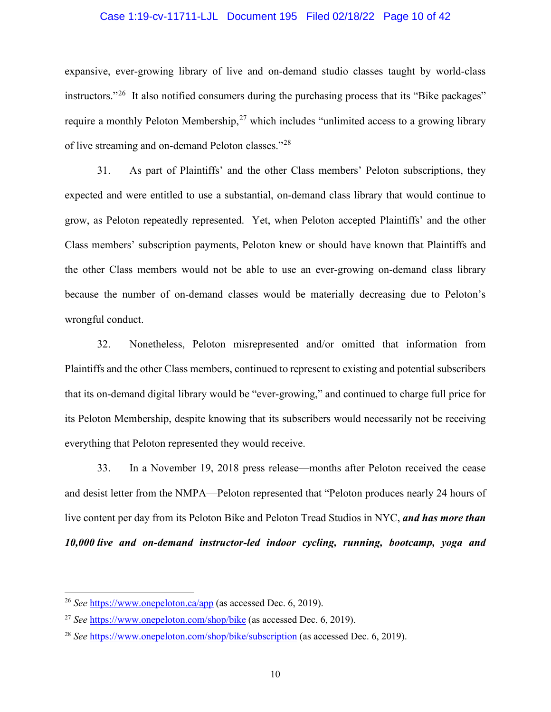## Case 1:19-cv-11711-LJL Document 195 Filed 02/18/22 Page 10 of 42

expansive, ever-growing library of live and on-demand studio classes taught by world-class instructors."<sup>[26](#page-9-0)</sup> It also notified consumers during the purchasing process that its "Bike packages" require a monthly Peloton Membership,  $27$  which includes "unlimited access to a growing library of live streaming and on-demand Peloton classes."<sup>28</sup>

31. As part of Plaintiffs' and the other Class members' Peloton subscriptions, they expected and were entitled to use a substantial, on-demand class library that would continue to grow, as Peloton repeatedly represented. Yet, when Peloton accepted Plaintiffs' and the other Class members' subscription payments, Peloton knew or should have known that Plaintiffs and the other Class members would not be able to use an ever-growing on-demand class library because the number of on-demand classes would be materially decreasing due to Peloton's wrongful conduct.

32. Nonetheless, Peloton misrepresented and/or omitted that information from Plaintiffs and the other Class members, continued to represent to existing and potential subscribers that its on-demand digital library would be "ever-growing," and continued to charge full price for its Peloton Membership, despite knowing that its subscribers would necessarily not be receiving everything that Peloton represented they would receive.

33. In a November 19, 2018 press release—months after Peloton received the cease and desist letter from the NMPA—Peloton represented that "Peloton produces nearly 24 hours of live content per day from its Peloton Bike and Peloton Tread Studios in NYC, *and has more than 10,000 live and on-demand instructor-led indoor cycling, running, bootcamp, yoga and* 

<span id="page-9-0"></span><sup>26</sup> *See* <https://www.onepeloton.ca/app> (as accessed Dec. 6, 2019).

<span id="page-9-1"></span><sup>27</sup> *See* <https://www.onepeloton.com/shop/bike> (as accessed Dec. 6, 2019).

<span id="page-9-2"></span><sup>28</sup> *See* <https://www.onepeloton.com/shop/bike/subscription> (as accessed Dec. 6, 2019).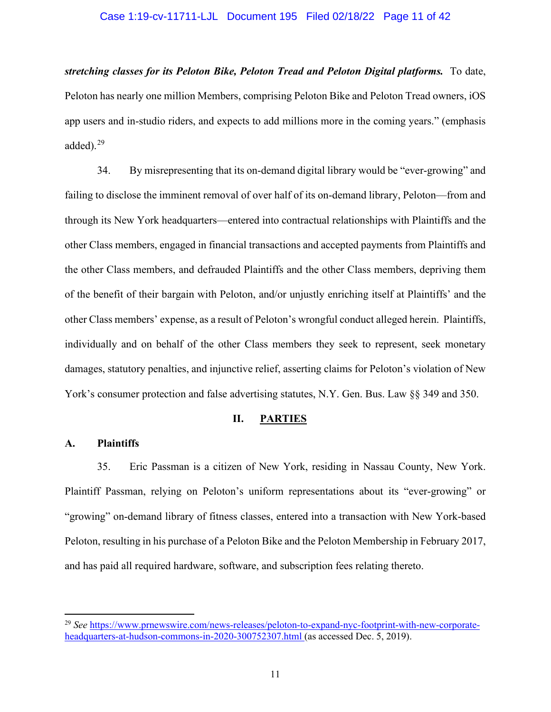## Case 1:19-cv-11711-LJL Document 195 Filed 02/18/22 Page 11 of 42

*stretching classes for its Peloton Bike, Peloton Tread and Peloton Digital platforms.* To date, Peloton has nearly one million Members, comprising Peloton Bike and Peloton Tread owners, iOS app users and in-studio riders, and expects to add millions more in the coming years." (emphasis added). $29$ 

34. By misrepresenting that its on-demand digital library would be "ever-growing" and failing to disclose the imminent removal of over half of its on-demand library, Peloton—from and through its New York headquarters—entered into contractual relationships with Plaintiffs and the other Class members, engaged in financial transactions and accepted payments from Plaintiffs and the other Class members, and defrauded Plaintiffs and the other Class members, depriving them of the benefit of their bargain with Peloton, and/or unjustly enriching itself at Plaintiffs' and the other Class members' expense, as a result of Peloton's wrongful conduct alleged herein. Plaintiffs, individually and on behalf of the other Class members they seek to represent, seek monetary damages, statutory penalties, and injunctive relief, asserting claims for Peloton's violation of New York's consumer protection and false advertising statutes, N.Y. Gen. Bus. Law §§ 349 and 350.

## **II. PARTIES**

## **A. Plaintiffs**

35. Eric Passman is a citizen of New York, residing in Nassau County, New York. Plaintiff Passman, relying on Peloton's uniform representations about its "ever-growing" or "growing" on-demand library of fitness classes, entered into a transaction with New York-based Peloton, resulting in his purchase of a Peloton Bike and the Peloton Membership in February 2017, and has paid all required hardware, software, and subscription fees relating thereto.

<span id="page-10-0"></span><sup>29</sup> *See* [https://www.prnewswire.com/news-releases/peloton-to-expand-nyc-footprint-with-new-corporate](https://www.prnewswire.com/news-releases/peloton-to-expand-nyc-footprint-with-new-corporate-headquarters-at-hudson-commons-in-2020-300752307.html)[headquarters-at-hudson-commons-in-2020-300752307.html](https://www.prnewswire.com/news-releases/peloton-to-expand-nyc-footprint-with-new-corporate-headquarters-at-hudson-commons-in-2020-300752307.html) (as accessed Dec. 5, 2019).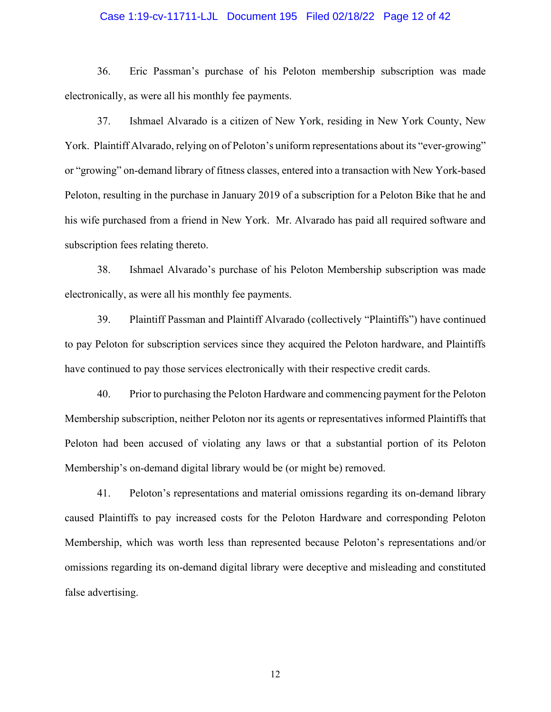## Case 1:19-cv-11711-LJL Document 195 Filed 02/18/22 Page 12 of 42

36. Eric Passman's purchase of his Peloton membership subscription was made electronically, as were all his monthly fee payments.

37. Ishmael Alvarado is a citizen of New York, residing in New York County, New York. Plaintiff Alvarado, relying on of Peloton's uniform representations about its "ever-growing" or "growing" on-demand library of fitness classes, entered into a transaction with New York-based Peloton, resulting in the purchase in January 2019 of a subscription for a Peloton Bike that he and his wife purchased from a friend in New York. Mr. Alvarado has paid all required software and subscription fees relating thereto.

38. Ishmael Alvarado's purchase of his Peloton Membership subscription was made electronically, as were all his monthly fee payments.

39. Plaintiff Passman and Plaintiff Alvarado (collectively "Plaintiffs") have continued to pay Peloton for subscription services since they acquired the Peloton hardware, and Plaintiffs have continued to pay those services electronically with their respective credit cards.

40. Prior to purchasing the Peloton Hardware and commencing payment for the Peloton Membership subscription, neither Peloton nor its agents or representatives informed Plaintiffs that Peloton had been accused of violating any laws or that a substantial portion of its Peloton Membership's on-demand digital library would be (or might be) removed.

41. Peloton's representations and material omissions regarding its on-demand library caused Plaintiffs to pay increased costs for the Peloton Hardware and corresponding Peloton Membership, which was worth less than represented because Peloton's representations and/or omissions regarding its on-demand digital library were deceptive and misleading and constituted false advertising.

12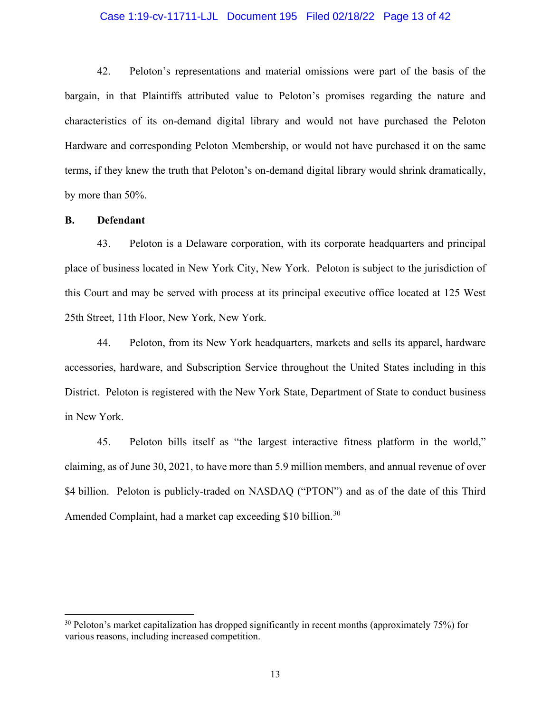# Case 1:19-cv-11711-LJL Document 195 Filed 02/18/22 Page 13 of 42

42. Peloton's representations and material omissions were part of the basis of the bargain, in that Plaintiffs attributed value to Peloton's promises regarding the nature and characteristics of its on-demand digital library and would not have purchased the Peloton Hardware and corresponding Peloton Membership, or would not have purchased it on the same terms, if they knew the truth that Peloton's on-demand digital library would shrink dramatically, by more than 50%.

## **B. Defendant**

43. Peloton is a Delaware corporation, with its corporate headquarters and principal place of business located in New York City, New York. Peloton is subject to the jurisdiction of this Court and may be served with process at its principal executive office located at 125 West 25th Street, 11th Floor, New York, New York.

44. Peloton, from its New York headquarters, markets and sells its apparel, hardware accessories, hardware, and Subscription Service throughout the United States including in this District. Peloton is registered with the New York State, Department of State to conduct business in New York.

45. Peloton bills itself as "the largest interactive fitness platform in the world," claiming, as of June 30, 2021, to have more than 5.9 million members, and annual revenue of over \$4 billion. Peloton is publicly-traded on NASDAQ ("PTON") and as of the date of this Third Amended Complaint, had a market cap exceeding \$10 billion.<sup>[30](#page-12-0)</sup>

<span id="page-12-0"></span> $30$  Peloton's market capitalization has dropped significantly in recent months (approximately 75%) for various reasons, including increased competition.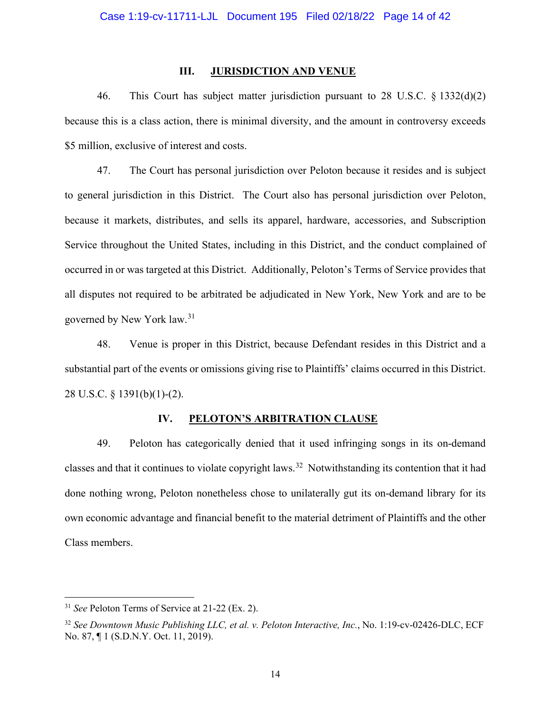#### **III. JURISDICTION AND VENUE**

46. This Court has subject matter jurisdiction pursuant to 28 U.S.C. § 1332(d)(2) because this is a class action, there is minimal diversity, and the amount in controversy exceeds \$5 million, exclusive of interest and costs.

47. The Court has personal jurisdiction over Peloton because it resides and is subject to general jurisdiction in this District. The Court also has personal jurisdiction over Peloton, because it markets, distributes, and sells its apparel, hardware, accessories, and Subscription Service throughout the United States, including in this District, and the conduct complained of occurred in or was targeted at this District. Additionally, Peloton's Terms of Service provides that all disputes not required to be arbitrated be adjudicated in New York, New York and are to be governed by New York law. [31](#page-13-0)

48. Venue is proper in this District, because Defendant resides in this District and a substantial part of the events or omissions giving rise to Plaintiffs' claims occurred in this District. 28 U.S.C. § 1391(b)(1)-(2).

## **IV. PELOTON'S ARBITRATION CLAUSE**

49. Peloton has categorically denied that it used infringing songs in its on-demand classes and that it continues to violate copyright laws.[32](#page-13-1) Notwithstanding its contention that it had done nothing wrong, Peloton nonetheless chose to unilaterally gut its on-demand library for its own economic advantage and financial benefit to the material detriment of Plaintiffs and the other Class members.

<span id="page-13-0"></span><sup>31</sup> *See* Peloton Terms of Service at 21-22 (Ex. 2).

<span id="page-13-1"></span><sup>32</sup> *See Downtown Music Publishing LLC, et al. v. Peloton Interactive, Inc.*, No. 1:19-cv-02426-DLC, ECF No. 87, ¶ 1 (S.D.N.Y. Oct. 11, 2019).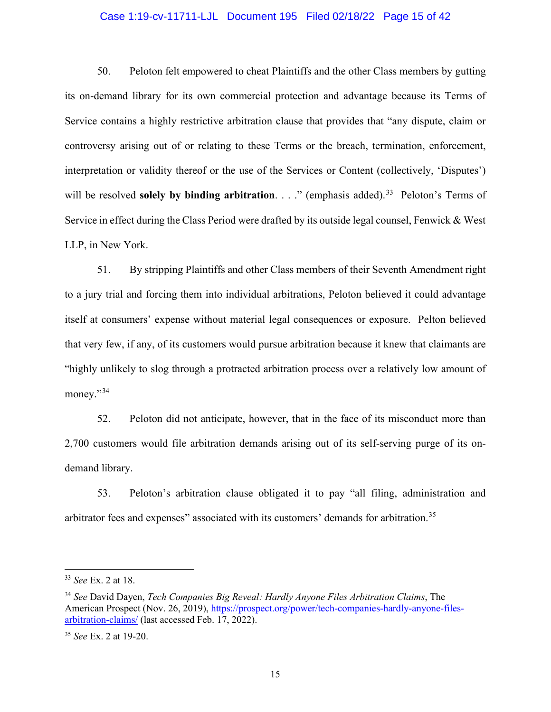## Case 1:19-cv-11711-LJL Document 195 Filed 02/18/22 Page 15 of 42

50. Peloton felt empowered to cheat Plaintiffs and the other Class members by gutting its on-demand library for its own commercial protection and advantage because its Terms of Service contains a highly restrictive arbitration clause that provides that "any dispute, claim or controversy arising out of or relating to these Terms or the breach, termination, enforcement, interpretation or validity thereof or the use of the Services or Content (collectively, 'Disputes') will be resolved **solely by binding arbitration**. . . ." (emphasis added).<sup>[33](#page-14-0)</sup> Peloton's Terms of Service in effect during the Class Period were drafted by its outside legal counsel, Fenwick & West LLP, in New York.

51. By stripping Plaintiffs and other Class members of their Seventh Amendment right to a jury trial and forcing them into individual arbitrations, Peloton believed it could advantage itself at consumers' expense without material legal consequences or exposure. Pelton believed that very few, if any, of its customers would pursue arbitration because it knew that claimants are "highly unlikely to slog through a protracted arbitration process over a relatively low amount of money."<sup>[34](#page-14-1)</sup>

52. Peloton did not anticipate, however, that in the face of its misconduct more than 2,700 customers would file arbitration demands arising out of its self-serving purge of its ondemand library.

53. Peloton's arbitration clause obligated it to pay "all filing, administration and arbitrator fees and expenses" associated with its customers' demands for arbitration.<sup>[35](#page-14-2)</sup>

<span id="page-14-0"></span><sup>33</sup> *See* Ex. 2 at 18.

<span id="page-14-1"></span><sup>34</sup> *See* David Dayen, *Tech Companies Big Reveal: Hardly Anyone Files Arbitration Claims*, The American Prospect (Nov. 26, 2019), [https://prospect.org/power/tech-companies-hardly-anyone-files](https://prospect.org/power/tech-companies-hardly-anyone-files-arbitration-claims/)[arbitration-claims/](https://prospect.org/power/tech-companies-hardly-anyone-files-arbitration-claims/) (last accessed Feb. 17, 2022).

<span id="page-14-2"></span><sup>35</sup> *See* Ex. 2 at 19-20.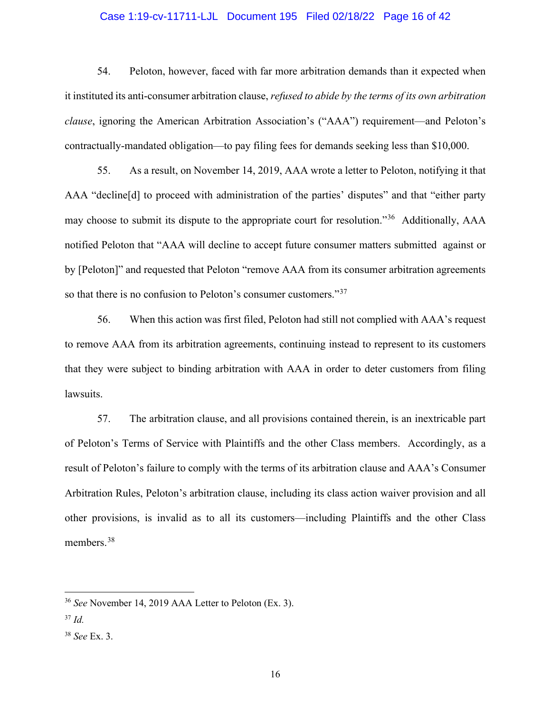## Case 1:19-cv-11711-LJL Document 195 Filed 02/18/22 Page 16 of 42

54. Peloton, however, faced with far more arbitration demands than it expected when it instituted its anti-consumer arbitration clause, *refused to abide by the terms of its own arbitration clause*, ignoring the American Arbitration Association's ("AAA") requirement—and Peloton's contractually-mandated obligation—to pay filing fees for demands seeking less than \$10,000.

55. As a result, on November 14, 2019, AAA wrote a letter to Peloton, notifying it that AAA "decline[d] to proceed with administration of the parties' disputes" and that "either party may choose to submit its dispute to the appropriate court for resolution."[36](#page-15-0) Additionally, AAA notified Peloton that "AAA will decline to accept future consumer matters submitted against or by [Peloton]" and requested that Peloton "remove AAA from its consumer arbitration agreements so that there is no confusion to Peloton's consumer customers."<sup>[37](#page-15-1)</sup>

56. When this action was first filed, Peloton had still not complied with AAA's request to remove AAA from its arbitration agreements, continuing instead to represent to its customers that they were subject to binding arbitration with AAA in order to deter customers from filing lawsuits.

57. The arbitration clause, and all provisions contained therein, is an inextricable part of Peloton's Terms of Service with Plaintiffs and the other Class members. Accordingly, as a result of Peloton's failure to comply with the terms of its arbitration clause and AAA's Consumer Arbitration Rules, Peloton's arbitration clause, including its class action waiver provision and all other provisions, is invalid as to all its customers—including Plaintiffs and the other Class members. [38](#page-15-2)

<span id="page-15-0"></span><sup>36</sup> *See* November 14, 2019 AAA Letter to Peloton (Ex. 3).

<span id="page-15-1"></span><sup>37</sup> *Id.*

<span id="page-15-2"></span><sup>38</sup> *See* Ex. 3.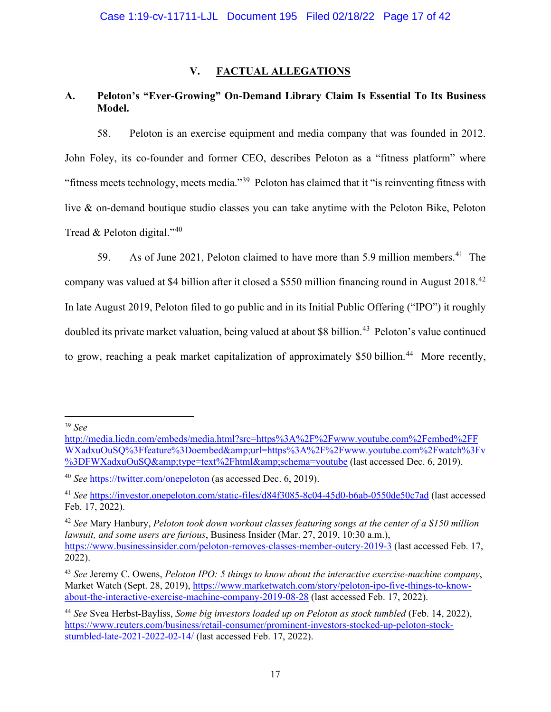# **V. FACTUAL ALLEGATIONS**

# **A. Peloton's "Ever-Growing" On-Demand Library Claim Is Essential To Its Business Model.**

58. Peloton is an exercise equipment and media company that was founded in 2012. John Foley, its co-founder and former CEO, describes Peloton as a "fitness platform" where "fitness meets technology, meets media."<sup>[39](#page-16-0)</sup> Peloton has claimed that it "is reinventing fitness with live & on-demand boutique studio classes you can take anytime with the Peloton Bike, Peloton Tread & Peloton digital."[40](#page-16-1)

59. As of June 2021, Peloton claimed to have more than 5.9 million members.<sup>[41](#page-16-2)</sup> The company was valued at \$4 billion after it closed a \$550 million financing round in August 2018.[42](#page-16-3) In late August 2019, Peloton filed to go public and in its Initial Public Offering ("IPO") it roughly doubled its private market valuation, being valued at about \$8 billion.<sup>[43](#page-16-4)</sup> Peloton's value continued to grow, reaching a peak market capitalization of approximately \$50 billion.<sup>[44](#page-16-5)</sup> More recently,

<span id="page-16-0"></span><sup>39</sup> *See* 

[http://media.licdn.com/embeds/media.html?src=https%3A%2F%2Fwww.youtube.com%2Fembed%2FF](http://media.licdn.com/embeds/media.html?src=https://www.youtube.com/embed/FWXadxuOuSQ?feature=oembed&url=https://www.youtube.com/watch?v=FWXadxuOuSQ&type=text/html&schema=youtube) [WXadxuOuSQ%3Ffeature%3Doembed&url=https%3A%2F%2Fwww.youtube.com%2Fwatch%3Fv](http://media.licdn.com/embeds/media.html?src=https://www.youtube.com/embed/FWXadxuOuSQ?feature=oembed&url=https://www.youtube.com/watch?v=FWXadxuOuSQ&type=text/html&schema=youtube) [%3DFWXadxuOuSQ&type=text%2Fhtml&schema=youtube](http://media.licdn.com/embeds/media.html?src=https://www.youtube.com/embed/FWXadxuOuSQ?feature=oembed&url=https://www.youtube.com/watch?v=FWXadxuOuSQ&type=text/html&schema=youtube) (last accessed Dec. 6, 2019).

<span id="page-16-1"></span><sup>40</sup> *See* <https://twitter.com/onepeloton> (as accessed Dec. 6, 2019).

<span id="page-16-2"></span><sup>41</sup> *See* https://investor.onepeloton.com/static-files/d84f3085-8c04-45d0-b6ab-0550de50c7ad (last accessed Feb. 17, 2022).

<span id="page-16-3"></span><sup>42</sup> *See* Mary Hanbury, *Peloton took down workout classes featuring songs at the center of a \$150 million lawsuit, and some users are furious*, Business Insider (Mar. 27, 2019, 10:30 a.m.), <https://www.businessinsider.com/peloton-removes-classes-member-outcry-2019-3> (last accessed Feb. 17, 2022).

<span id="page-16-4"></span><sup>43</sup> *See* Jeremy C. Owens, *Peloton IPO: 5 things to know about the interactive exercise-machine company*, Market Watch (Sept. 28, 2019), [https://www.marketwatch.com/story/peloton-ipo-five-things-to-know](https://www.marketwatch.com/story/peloton-ipo-five-things-to-know-about-the-interactive-exercise-machine-company-2019-08-28)[about-the-interactive-exercise-machine-company-2019-08-28](https://www.marketwatch.com/story/peloton-ipo-five-things-to-know-about-the-interactive-exercise-machine-company-2019-08-28) (last accessed Feb. 17, 2022).

<span id="page-16-5"></span><sup>44</sup> *See* Svea Herbst-Bayliss, *Some big investors loaded up on Peloton as stock tumbled* (Feb. 14, 2022), [https://www.reuters.com/business/retail-consumer/prominent-investors-stocked-up-peloton-stock](https://www.reuters.com/business/retail-consumer/prominent-investors-stocked-up-peloton-stock-stumbled-late-2021-2022-02-14/)[stumbled-late-2021-2022-02-14/](https://www.reuters.com/business/retail-consumer/prominent-investors-stocked-up-peloton-stock-stumbled-late-2021-2022-02-14/) (last accessed Feb. 17, 2022).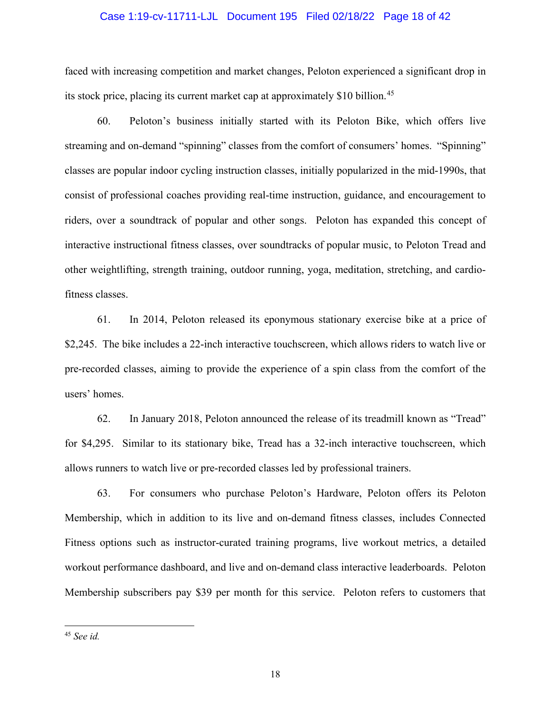#### Case 1:19-cv-11711-LJL Document 195 Filed 02/18/22 Page 18 of 42

faced with increasing competition and market changes, Peloton experienced a significant drop in its stock price, placing its current market cap at approximately \$10 billion.<sup>[45](#page-17-0)</sup>

60. Peloton's business initially started with its Peloton Bike, which offers live streaming and on-demand "spinning" classes from the comfort of consumers' homes. "Spinning" classes are popular indoor cycling instruction classes, initially popularized in the mid-1990s, that consist of professional coaches providing real-time instruction, guidance, and encouragement to riders, over a soundtrack of popular and other songs. Peloton has expanded this concept of interactive instructional fitness classes, over soundtracks of popular music, to Peloton Tread and other weightlifting, strength training, outdoor running, yoga, meditation, stretching, and cardiofitness classes.

61. In 2014, Peloton released its eponymous stationary exercise bike at a price of \$2,245. The bike includes a 22-inch interactive touchscreen, which allows riders to watch live or pre-recorded classes, aiming to provide the experience of a spin class from the comfort of the users' homes.

62. In January 2018, Peloton announced the release of its treadmill known as "Tread" for \$4,295. Similar to its stationary bike, Tread has a 32-inch interactive touchscreen, which allows runners to watch live or pre-recorded classes led by professional trainers.

63. For consumers who purchase Peloton's Hardware, Peloton offers its Peloton Membership, which in addition to its live and on-demand fitness classes, includes Connected Fitness options such as instructor-curated training programs, live workout metrics, a detailed workout performance dashboard, and live and on-demand class interactive leaderboards. Peloton Membership subscribers pay \$39 per month for this service. Peloton refers to customers that

<span id="page-17-0"></span><sup>45</sup> *See id.*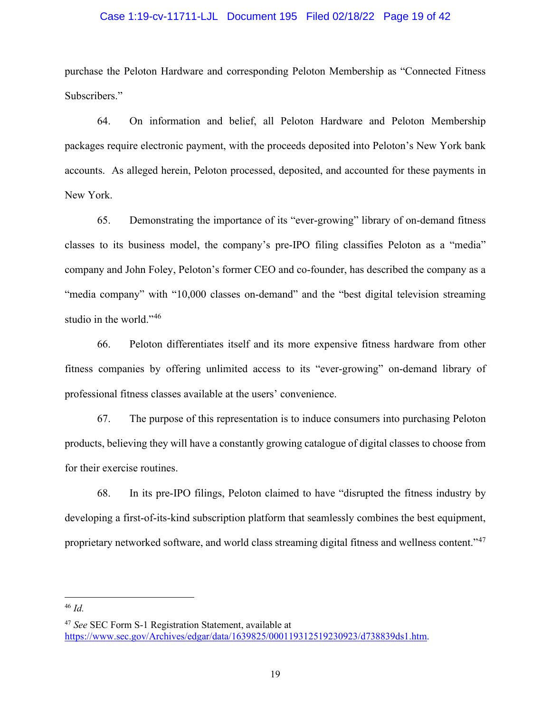## Case 1:19-cv-11711-LJL Document 195 Filed 02/18/22 Page 19 of 42

purchase the Peloton Hardware and corresponding Peloton Membership as "Connected Fitness Subscribers."

64. On information and belief, all Peloton Hardware and Peloton Membership packages require electronic payment, with the proceeds deposited into Peloton's New York bank accounts. As alleged herein, Peloton processed, deposited, and accounted for these payments in New York.

65. Demonstrating the importance of its "ever-growing" library of on-demand fitness classes to its business model, the company's pre-IPO filing classifies Peloton as a "media" company and John Foley, Peloton's former CEO and co-founder, has described the company as a "media company" with "10,000 classes on-demand" and the "best digital television streaming studio in the world."<sup>[46](#page-18-0)</sup>

66. Peloton differentiates itself and its more expensive fitness hardware from other fitness companies by offering unlimited access to its "ever-growing" on-demand library of professional fitness classes available at the users' convenience.

67. The purpose of this representation is to induce consumers into purchasing Peloton products, believing they will have a constantly growing catalogue of digital classes to choose from for their exercise routines.

68. In its pre-IPO filings, Peloton claimed to have "disrupted the fitness industry by developing a first-of-its-kind subscription platform that seamlessly combines the best equipment, proprietary networked software, and world class streaming digital fitness and wellness content."[47](#page-18-1)

<span id="page-18-0"></span><sup>46</sup> *Id.* 

<span id="page-18-1"></span><sup>47</sup> *See* SEC Form S-1 Registration Statement, available at [https://www.sec.gov/Archives/edgar/data/1639825/000119312519230923/d738839ds1.htm.](https://www.sec.gov/Archives/edgar/data/1639825/000119312519230923/d738839ds1.htm)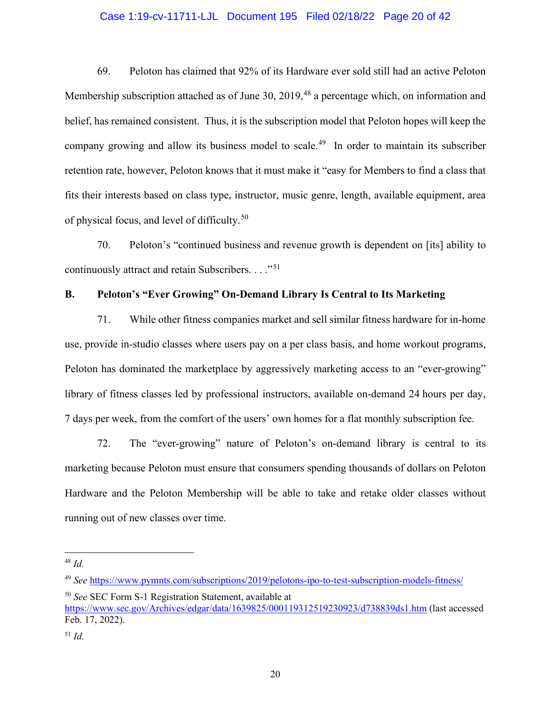## Case 1:19-cv-11711-LJL Document 195 Filed 02/18/22 Page 20 of 42

69. Peloton has claimed that 92% of its Hardware ever sold still had an active Peloton Membership subscription attached as of June 30, 2019,<sup>[48](#page-19-0)</sup> a percentage which, on information and belief, has remained consistent. Thus, it is the subscription model that Peloton hopes will keep the company growing and allow its business model to scale.<sup>[49](#page-19-1)</sup> In order to maintain its subscriber retention rate, however, Peloton knows that it must make it "easy for Members to find a class that fits their interests based on class type, instructor, music genre, length, available equipment, area of physical focus, and level of difficulty.<sup>[50](#page-19-2)</sup>

70. Peloton's "continued business and revenue growth is dependent on [its] ability to continuously attract and retain Subscribers.  $\ldots$ <sup>51</sup>

## **B. Peloton's "Ever Growing" On-Demand Library Is Central to Its Marketing**

71. While other fitness companies market and sell similar fitness hardware for in-home use, provide in-studio classes where users pay on a per class basis, and home workout programs, Peloton has dominated the marketplace by aggressively marketing access to an "ever-growing" library of fitness classes led by professional instructors, available on-demand 24 hours per day, 7 days per week, from the comfort of the users' own homes for a flat monthly subscription fee.

72. The "ever-growing" nature of Peloton's on-demand library is central to its marketing because Peloton must ensure that consumers spending thousands of dollars on Peloton Hardware and the Peloton Membership will be able to take and retake older classes without running out of new classes over time.

<span id="page-19-2"></span><sup>50</sup> *See* SEC Form S-1 Registration Statement, available at

<span id="page-19-0"></span><sup>48</sup> *Id.* 

<span id="page-19-1"></span><sup>49</sup> *See* <https://www.pymnts.com/subscriptions/2019/pelotons-ipo-to-test-subscription-models-fitness/>

<https://www.sec.gov/Archives/edgar/data/1639825/000119312519230923/d738839ds1.htm> (last accessed Feb. 17, 2022).

<span id="page-19-3"></span><sup>51</sup> *Id.*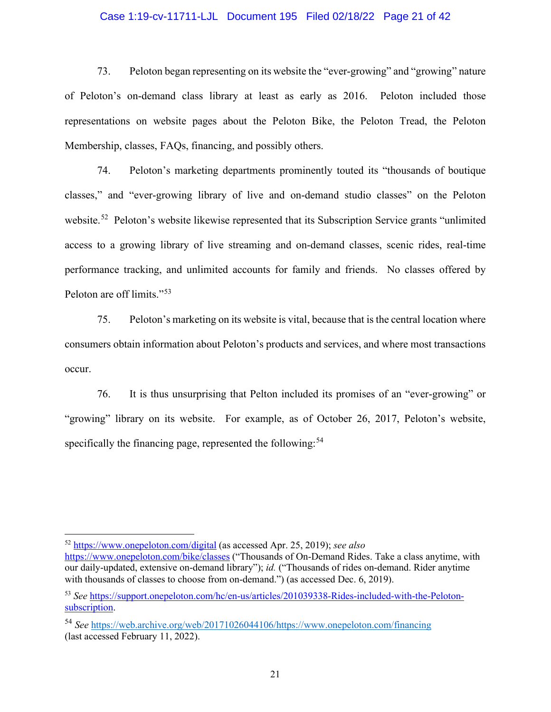## Case 1:19-cv-11711-LJL Document 195 Filed 02/18/22 Page 21 of 42

73. Peloton began representing on its website the "ever-growing" and "growing" nature of Peloton's on-demand class library at least as early as 2016. Peloton included those representations on website pages about the Peloton Bike, the Peloton Tread, the Peloton Membership, classes, FAQs, financing, and possibly others.

74. Peloton's marketing departments prominently touted its "thousands of boutique classes," and "ever-growing library of live and on-demand studio classes" on the Peloton website.<sup>[52](#page-20-0)</sup> Peloton's website likewise represented that its Subscription Service grants "unlimited" access to a growing library of live streaming and on-demand classes, scenic rides, real-time performance tracking, and unlimited accounts for family and friends. No classes offered by Peloton are off limits."[53](#page-20-1)

75. Peloton's marketing on its website is vital, because that is the central location where consumers obtain information about Peloton's products and services, and where most transactions occur.

76. It is thus unsurprising that Pelton included its promises of an "ever-growing" or "growing" library on its website. For example, as of October 26, 2017, Peloton's website, specifically the financing page, represented the following:<sup>[54](#page-20-2)</sup>

<span id="page-20-0"></span><sup>52</sup> <https://www.onepeloton.com/digital> (as accessed Apr. 25, 2019); *see also*

<https://www.onepeloton.com/bike/classes> ("Thousands of On-Demand Rides. Take a class anytime, with our daily-updated, extensive on-demand library"); *id.* ("Thousands of rides on-demand. Rider anytime with thousands of classes to choose from on-demand.") (as accessed Dec. 6, 2019).

<span id="page-20-1"></span><sup>53</sup> *See* [https://support.onepeloton.com/hc/en-us/articles/201039338-Rides-included-with-the-Peloton](https://support.onepeloton.com/hc/en-us/articles/201039338-Rides-included-with-the-Peloton-subscription)[subscription.](https://support.onepeloton.com/hc/en-us/articles/201039338-Rides-included-with-the-Peloton-subscription)

<span id="page-20-2"></span><sup>54</sup> *See* [https://web.archive.org/web/20171026044106/https://www.onepeloton.com/financing](https://web.archive.org/web/20171026044106/https:/www.onepeloton.com/financing) (last accessed February 11, 2022).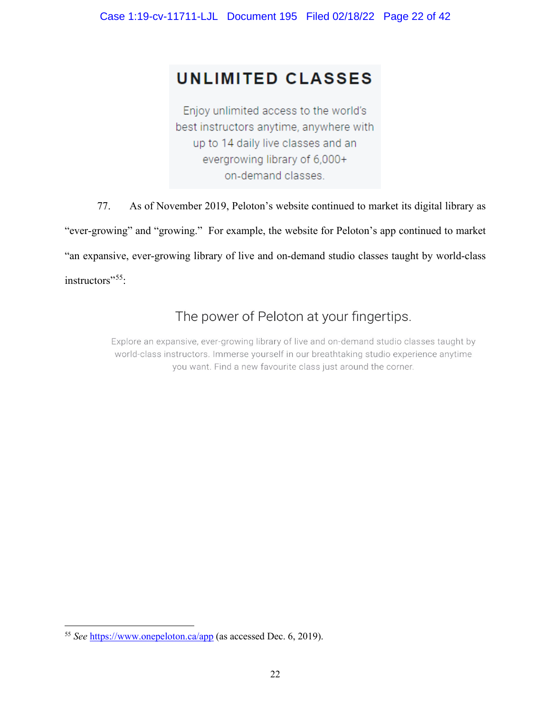# **UNLIMITED CLASSES**

Enjoy unlimited access to the world's best instructors anytime, anywhere with up to 14 daily live classes and an evergrowing library of 6,000+ on-demand classes.

77. As of November 2019, Peloton's website continued to market its digital library as "ever-growing" and "growing." For example, the website for Peloton's app continued to market "an expansive, ever-growing library of live and on-demand studio classes taught by world-class instructors"<sup>55</sup>:

# The power of Peloton at your fingertips.

Explore an expansive, ever-growing library of live and on-demand studio classes taught by world-class instructors. Immerse yourself in our breathtaking studio experience anytime you want. Find a new favourite class just around the corner.

<span id="page-21-0"></span><sup>55</sup> *See* <https://www.onepeloton.ca/app>(as accessed Dec. 6, 2019).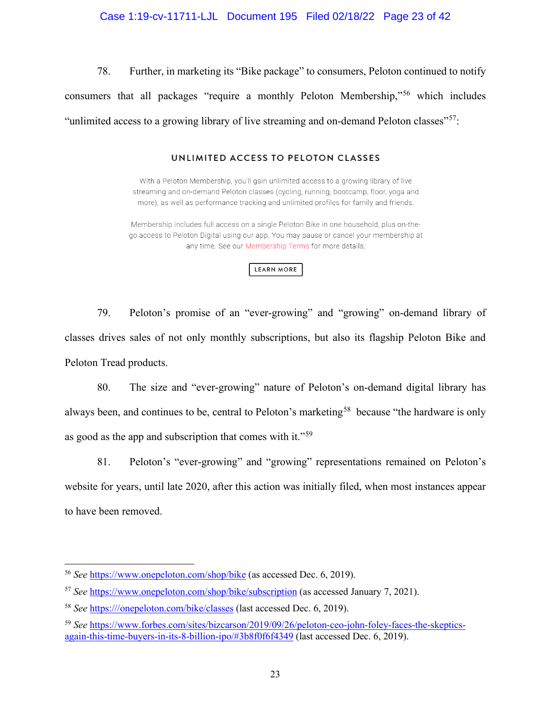## Case 1:19-cv-11711-LJL Document 195 Filed 02/18/22 Page 23 of 42

78. Further, in marketing its "Bike package" to consumers, Peloton continued to notify consumers that all packages "require a monthly Peloton Membership,"[56](#page-22-0) which includes "unlimited access to a growing library of live streaming and on-demand Peloton classes"<sup>[57](#page-22-1)</sup>:

## UNLIMITED ACCESS TO PELOTON CLASSES

With a Peloton Membership, you'll gain unlimited access to a growing library of live streaming and on-demand Peloton classes (cycling, running, bootcamp, floor, yoga and more), as well as performance tracking and unlimited profiles for family and friends.

Membership includes full access on a single Peloton Bike in one household, plus on-thego access to Peloton Digital using our app. You may pause or cancel your membership at any time. See our Membership Terms for more details.

#### **LEARN MORE**

79. Peloton's promise of an "ever-growing" and "growing" on-demand library of classes drives sales of not only monthly subscriptions, but also its flagship Peloton Bike and Peloton Tread products.

80. The size and "ever-growing" nature of Peloton's on-demand digital library has always been, and continues to be, central to Peloton's marketing<sup>[58](#page-22-2)</sup> because "the hardware is only as good as the app and subscription that comes with it."<sup>[59](#page-22-3)</sup>

81. Peloton's "ever-growing" and "growing" representations remained on Peloton's website for years, until late 2020, after this action was initially filed, when most instances appear to have been removed.

<span id="page-22-0"></span><sup>56</sup> *See* <https://www.onepeloton.com/shop/bike> (as accessed Dec. 6, 2019).

<span id="page-22-1"></span><sup>57</sup> *See* <https://www.onepeloton.com/shop/bike/subscription> (as accessed January 7, 2021).

<span id="page-22-2"></span><sup>58</sup> *See* [https:///onepeloton.com/bike/classes](https://onepeloton.com/bike/classes) (last accessed Dec. 6, 2019).

<span id="page-22-3"></span><sup>59</sup> *See* [https://www.forbes.com/sites/bizcarson/2019/09/26/peloton-ceo-john-foley-faces-the-skeptics](https://www.forbes.com/sites/bizcarson/2019/09/26/peloton-ceo-john-foley-faces-the-skeptics-again-this-time-buyers-in-its-8-billion-ipo/%233b8f0f6f4349)[again-this-time-buyers-in-its-8-billion-ipo/#3b8f0f6f4349](https://www.forbes.com/sites/bizcarson/2019/09/26/peloton-ceo-john-foley-faces-the-skeptics-again-this-time-buyers-in-its-8-billion-ipo/%233b8f0f6f4349) (last accessed Dec. 6, 2019).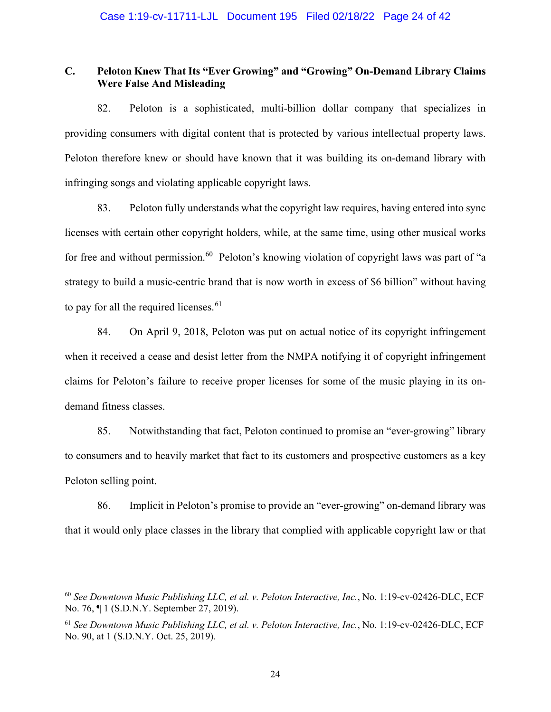# **C. Peloton Knew That Its "Ever Growing" and "Growing" On-Demand Library Claims Were False And Misleading**

82. Peloton is a sophisticated, multi-billion dollar company that specializes in providing consumers with digital content that is protected by various intellectual property laws. Peloton therefore knew or should have known that it was building its on-demand library with infringing songs and violating applicable copyright laws.

83. Peloton fully understands what the copyright law requires, having entered into sync licenses with certain other copyright holders, while, at the same time, using other musical works for free and without permission.<sup>60</sup> Peloton's knowing violation of copyright laws was part of "a strategy to build a music-centric brand that is now worth in excess of \$6 billion" without having to pay for all the required licenses.<sup>[61](#page-23-1)</sup>

84. On April 9, 2018, Peloton was put on actual notice of its copyright infringement when it received a cease and desist letter from the NMPA notifying it of copyright infringement claims for Peloton's failure to receive proper licenses for some of the music playing in its ondemand fitness classes.

85. Notwithstanding that fact, Peloton continued to promise an "ever-growing" library to consumers and to heavily market that fact to its customers and prospective customers as a key Peloton selling point.

86. Implicit in Peloton's promise to provide an "ever-growing" on-demand library was that it would only place classes in the library that complied with applicable copyright law or that

<span id="page-23-0"></span><sup>60</sup> *See Downtown Music Publishing LLC, et al. v. Peloton Interactive, Inc.*, No. 1:19-cv-02426-DLC, ECF No. 76, ¶ 1 (S.D.N.Y. September 27, 2019).

<span id="page-23-1"></span><sup>61</sup> *See Downtown Music Publishing LLC, et al. v. Peloton Interactive, Inc.*, No. 1:19-cv-02426-DLC, ECF No. 90, at 1 (S.D.N.Y. Oct. 25, 2019).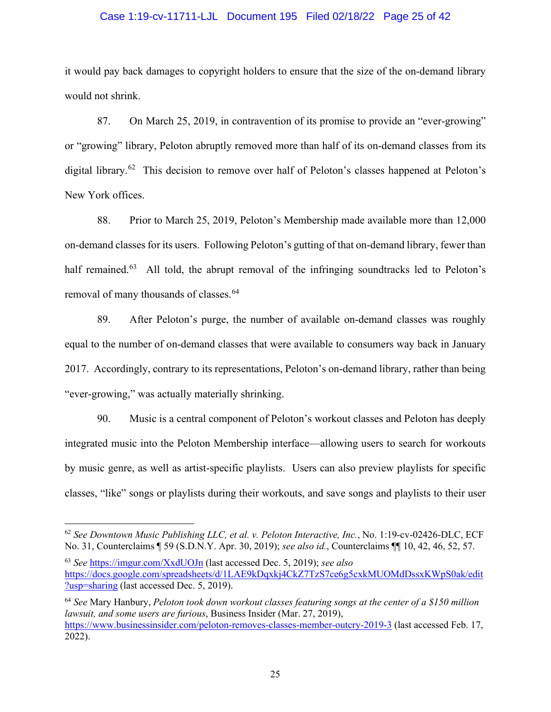## Case 1:19-cv-11711-LJL Document 195 Filed 02/18/22 Page 25 of 42

it would pay back damages to copyright holders to ensure that the size of the on-demand library would not shrink.

87. On March 25, 2019, in contravention of its promise to provide an "ever-growing" or "growing" library, Peloton abruptly removed more than half of its on-demand classes from its digital library.<sup>[62](#page-24-0)</sup> This decision to remove over half of Peloton's classes happened at Peloton's New York offices.

88. Prior to March 25, 2019, Peloton's Membership made available more than 12,000 on-demand classes for its users. Following Peloton's gutting of that on-demand library, fewer than half remained. $63$  All told, the abrupt removal of the infringing soundtracks led to Peloton's removal of many thousands of classes.<sup>[64](#page-24-2)</sup>

89. After Peloton's purge, the number of available on-demand classes was roughly equal to the number of on-demand classes that were available to consumers way back in January 2017. Accordingly, contrary to its representations, Peloton's on-demand library, rather than being "ever-growing," was actually materially shrinking.

90. Music is a central component of Peloton's workout classes and Peloton has deeply integrated music into the Peloton Membership interface—allowing users to search for workouts by music genre, as well as artist-specific playlists. Users can also preview playlists for specific classes, "like" songs or playlists during their workouts, and save songs and playlists to their user

<span id="page-24-2"></span><sup>64</sup> *See* Mary Hanbury, *Peloton took down workout classes featuring songs at the center of a \$150 million lawsuit, and some users are furious*, Business Insider (Mar. 27, 2019), <https://www.businessinsider.com/peloton-removes-classes-member-outcry-2019-3> (last accessed Feb. 17, 2022).

<span id="page-24-0"></span><sup>62</sup> *See Downtown Music Publishing LLC, et al. v. Peloton Interactive, Inc.*, No. 1:19-cv-02426-DLC, ECF No. 31, Counterclaims ¶ 59 (S.D.N.Y. Apr. 30, 2019); *see also id.*, Counterclaims ¶¶ 10, 42, 46, 52, 57.

<span id="page-24-1"></span><sup>63</sup> *See* <https://imgur.com/XxdUOJn> (last accessed Dec. 5, 2019); *see also* [https://docs.google.com/spreadsheets/d/1LAE9kDqxkj4CkZ7TzS7ce6g5cxkMUOMdDssxKWpS0ak/edit](https://docs.google.com/spreadsheets/d/1LAE9kDqxkj4CkZ7TzS7ce6g5cxkMUOMdDssxKWpS0ak/edit?usp=sharing) [?usp=sharing](https://docs.google.com/spreadsheets/d/1LAE9kDqxkj4CkZ7TzS7ce6g5cxkMUOMdDssxKWpS0ak/edit?usp=sharing) (last accessed Dec. 5, 2019).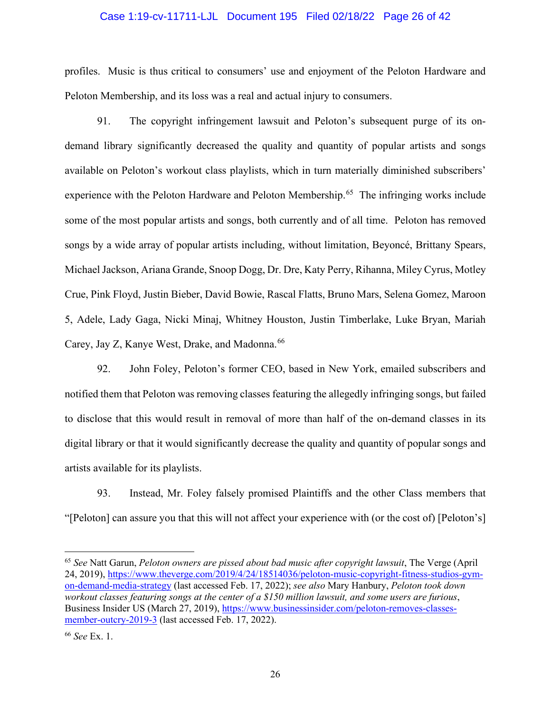## Case 1:19-cv-11711-LJL Document 195 Filed 02/18/22 Page 26 of 42

profiles. Music is thus critical to consumers' use and enjoyment of the Peloton Hardware and Peloton Membership, and its loss was a real and actual injury to consumers.

91. The copyright infringement lawsuit and Peloton's subsequent purge of its ondemand library significantly decreased the quality and quantity of popular artists and songs available on Peloton's workout class playlists, which in turn materially diminished subscribers' experience with the Peloton Hardware and Peloton Membership.<sup>65</sup> The infringing works include some of the most popular artists and songs, both currently and of all time. Peloton has removed songs by a wide array of popular artists including, without limitation, Beyoncé, Brittany Spears, Michael Jackson, Ariana Grande, Snoop Dogg, Dr. Dre, Katy Perry, Rihanna, Miley Cyrus, Motley Crue, Pink Floyd, Justin Bieber, David Bowie, Rascal Flatts, Bruno Mars, Selena Gomez, Maroon 5, Adele, Lady Gaga, Nicki Minaj, Whitney Houston, Justin Timberlake, Luke Bryan, Mariah Carey, Jay Z, Kanye West, Drake, and Madonna. [66](#page-25-1)

92. John Foley, Peloton's former CEO, based in New York, emailed subscribers and notified them that Peloton was removing classes featuring the allegedly infringing songs, but failed to disclose that this would result in removal of more than half of the on-demand classes in its digital library or that it would significantly decrease the quality and quantity of popular songs and artists available for its playlists.

93. Instead, Mr. Foley falsely promised Plaintiffs and the other Class members that "[Peloton] can assure you that this will not affect your experience with (or the cost of) [Peloton's]

<span id="page-25-0"></span><sup>65</sup> *See* Natt Garun, *Peloton owners are pissed about bad music after copyright lawsuit*, The Verge (April 24, 2019), [https://www.theverge.com/2019/4/24/18514036/peloton-music-copyright-fitness-studios-gym](https://www.theverge.com/2019/4/24/18514036/peloton-music-copyright-fitness-studios-gym-on-demand-media-strategy)[on-demand-media-strategy](https://www.theverge.com/2019/4/24/18514036/peloton-music-copyright-fitness-studios-gym-on-demand-media-strategy) (last accessed Feb. 17, 2022); *see also* Mary Hanbury, *Peloton took down workout classes featuring songs at the center of a \$150 million lawsuit, and some users are furious*, Business Insider US (March 27, 2019), [https://www.businessinsider.com/peloton-removes-classes](https://www.businessinsider.com/peloton-removes-classes-member-outcry-2019-3)[member-outcry-2019-3](https://www.businessinsider.com/peloton-removes-classes-member-outcry-2019-3) (last accessed Feb. 17, 2022).

<span id="page-25-1"></span><sup>66</sup> *See* Ex. 1.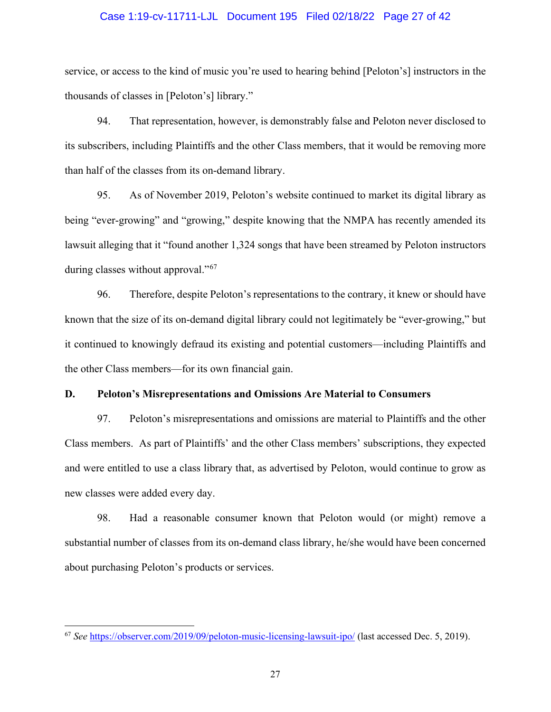#### Case 1:19-cv-11711-LJL Document 195 Filed 02/18/22 Page 27 of 42

service, or access to the kind of music you're used to hearing behind [Peloton's] instructors in the thousands of classes in [Peloton's] library."

94. That representation, however, is demonstrably false and Peloton never disclosed to its subscribers, including Plaintiffs and the other Class members, that it would be removing more than half of the classes from its on-demand library.

95. As of November 2019, Peloton's website continued to market its digital library as being "ever-growing" and "growing," despite knowing that the NMPA has recently amended its lawsuit alleging that it "found another 1,324 songs that have been streamed by Peloton instructors during classes without approval."<sup>[67](#page-26-0)</sup>

96. Therefore, despite Peloton's representations to the contrary, it knew or should have known that the size of its on-demand digital library could not legitimately be "ever-growing," but it continued to knowingly defraud its existing and potential customers—including Plaintiffs and the other Class members—for its own financial gain.

## **D. Peloton's Misrepresentations and Omissions Are Material to Consumers**

97. Peloton's misrepresentations and omissions are material to Plaintiffs and the other Class members. As part of Plaintiffs' and the other Class members' subscriptions, they expected and were entitled to use a class library that, as advertised by Peloton, would continue to grow as new classes were added every day.

98. Had a reasonable consumer known that Peloton would (or might) remove a substantial number of classes from its on-demand class library, he/she would have been concerned about purchasing Peloton's products or services.

<span id="page-26-0"></span><sup>67</sup> *See* <https://observer.com/2019/09/peloton-music-licensing-lawsuit-ipo/> (last accessed Dec. 5, 2019).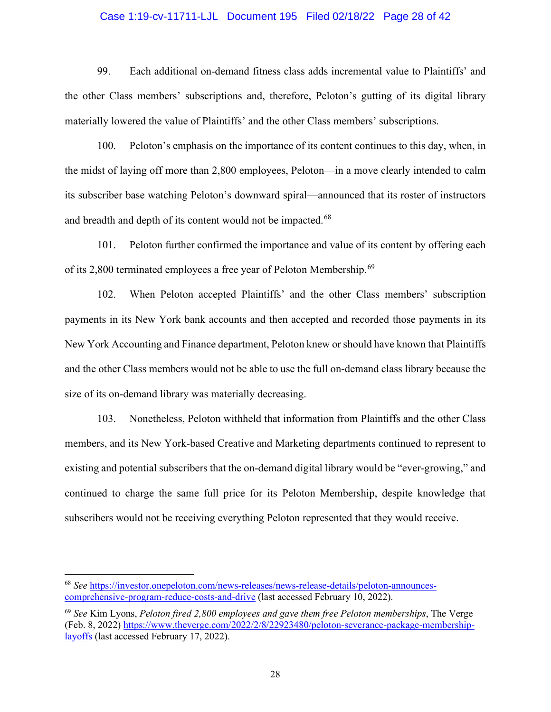## Case 1:19-cv-11711-LJL Document 195 Filed 02/18/22 Page 28 of 42

99. Each additional on-demand fitness class adds incremental value to Plaintiffs' and the other Class members' subscriptions and, therefore, Peloton's gutting of its digital library materially lowered the value of Plaintiffs' and the other Class members' subscriptions.

100. Peloton's emphasis on the importance of its content continues to this day, when, in the midst of laying off more than 2,800 employees, Peloton—in a move clearly intended to calm its subscriber base watching Peloton's downward spiral—announced that its roster of instructors and breadth and depth of its content would not be impacted.<sup>[68](#page-27-0)</sup>

101. Peloton further confirmed the importance and value of its content by offering each of its 2,800 terminated employees a free year of Peloton Membership.<sup>69</sup>

102. When Peloton accepted Plaintiffs' and the other Class members' subscription payments in its New York bank accounts and then accepted and recorded those payments in its New York Accounting and Finance department, Peloton knew or should have known that Plaintiffs and the other Class members would not be able to use the full on-demand class library because the size of its on-demand library was materially decreasing.

103. Nonetheless, Peloton withheld that information from Plaintiffs and the other Class members, and its New York-based Creative and Marketing departments continued to represent to existing and potential subscribers that the on-demand digital library would be "ever-growing," and continued to charge the same full price for its Peloton Membership, despite knowledge that subscribers would not be receiving everything Peloton represented that they would receive.

<span id="page-27-0"></span><sup>68</sup> *See* [https://investor.onepeloton.com/news-releases/news-release-details/peloton-announces](https://investor.onepeloton.com/news-releases/news-release-details/peloton-announces-comprehensive-program-reduce-costs-and-drive)[comprehensive-program-reduce-costs-and-drive](https://investor.onepeloton.com/news-releases/news-release-details/peloton-announces-comprehensive-program-reduce-costs-and-drive) (last accessed February 10, 2022).

<span id="page-27-1"></span><sup>69</sup> *See* Kim Lyons, *Peloton fired 2,800 employees and gave them free Peloton memberships*, The Verge (Feb. 8, 2022) [https://www.theverge.com/2022/2/8/22923480/peloton-severance-package-membership](https://www.theverge.com/2022/2/8/22923480/peloton-severance-package-membership-layoffs)[layoffs](https://www.theverge.com/2022/2/8/22923480/peloton-severance-package-membership-layoffs) (last accessed February 17, 2022).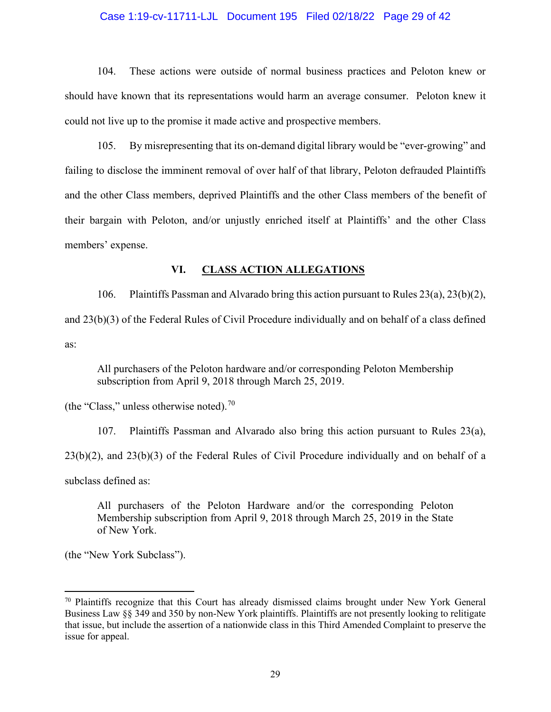## Case 1:19-cv-11711-LJL Document 195 Filed 02/18/22 Page 29 of 42

104. These actions were outside of normal business practices and Peloton knew or should have known that its representations would harm an average consumer. Peloton knew it could not live up to the promise it made active and prospective members.

105. By misrepresenting that its on-demand digital library would be "ever-growing" and failing to disclose the imminent removal of over half of that library, Peloton defrauded Plaintiffs and the other Class members, deprived Plaintiffs and the other Class members of the benefit of their bargain with Peloton, and/or unjustly enriched itself at Plaintiffs' and the other Class members' expense.

## **VI. CLASS ACTION ALLEGATIONS**

106. Plaintiffs Passman and Alvarado bring this action pursuant to Rules 23(a), 23(b)(2), and 23(b)(3) of the Federal Rules of Civil Procedure individually and on behalf of a class defined as:

All purchasers of the Peloton hardware and/or corresponding Peloton Membership subscription from April 9, 2018 through March 25, 2019.

(the "Class," unless otherwise noted).<sup>[70](#page-28-0)</sup>

107. Plaintiffs Passman and Alvarado also bring this action pursuant to Rules 23(a), 23(b)(2), and 23(b)(3) of the Federal Rules of Civil Procedure individually and on behalf of a subclass defined as:

All purchasers of the Peloton Hardware and/or the corresponding Peloton Membership subscription from April 9, 2018 through March 25, 2019 in the State of New York.

(the "New York Subclass").

<span id="page-28-0"></span><sup>70</sup> Plaintiffs recognize that this Court has already dismissed claims brought under New York General Business Law §§ 349 and 350 by non-New York plaintiffs. Plaintiffs are not presently looking to relitigate that issue, but include the assertion of a nationwide class in this Third Amended Complaint to preserve the issue for appeal.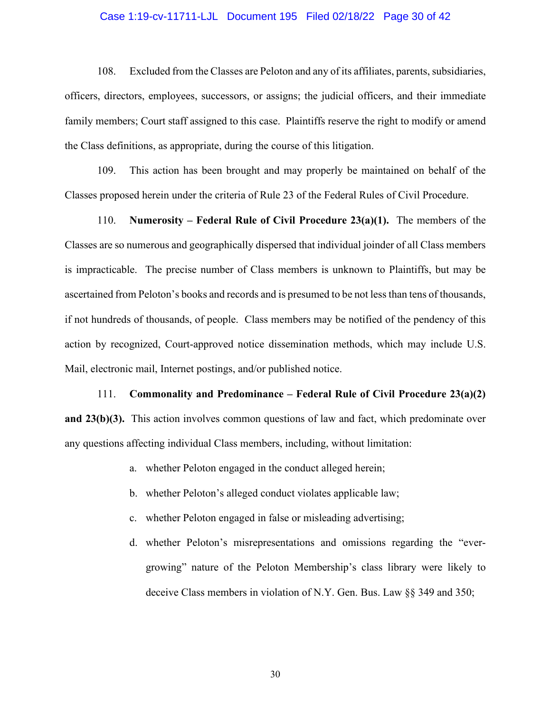## Case 1:19-cv-11711-LJL Document 195 Filed 02/18/22 Page 30 of 42

108. Excluded from the Classes are Peloton and any of its affiliates, parents, subsidiaries, officers, directors, employees, successors, or assigns; the judicial officers, and their immediate family members; Court staff assigned to this case. Plaintiffs reserve the right to modify or amend the Class definitions, as appropriate, during the course of this litigation.

109. This action has been brought and may properly be maintained on behalf of the Classes proposed herein under the criteria of Rule 23 of the Federal Rules of Civil Procedure.

110. **Numerosity – Federal Rule of Civil Procedure 23(a)(1).** The members of the Classes are so numerous and geographically dispersed that individual joinder of all Class members is impracticable. The precise number of Class members is unknown to Plaintiffs, but may be ascertained from Peloton's books and records and is presumed to be not less than tens of thousands, if not hundreds of thousands, of people. Class members may be notified of the pendency of this action by recognized, Court-approved notice dissemination methods, which may include U.S. Mail, electronic mail, Internet postings, and/or published notice.

111. **Commonality and Predominance – Federal Rule of Civil Procedure 23(a)(2) and 23(b)(3).** This action involves common questions of law and fact, which predominate over any questions affecting individual Class members, including, without limitation:

- a. whether Peloton engaged in the conduct alleged herein;
- b. whether Peloton's alleged conduct violates applicable law;
- c. whether Peloton engaged in false or misleading advertising;
- d. whether Peloton's misrepresentations and omissions regarding the "evergrowing" nature of the Peloton Membership's class library were likely to deceive Class members in violation of N.Y. Gen. Bus. Law §§ 349 and 350;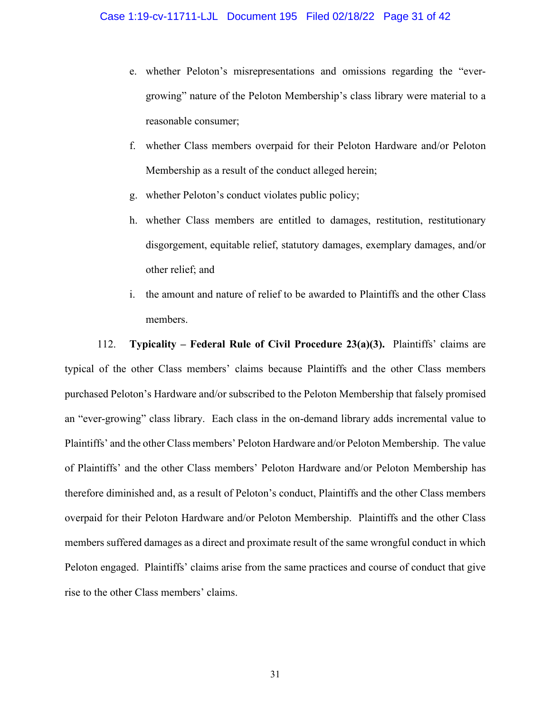- e. whether Peloton's misrepresentations and omissions regarding the "evergrowing" nature of the Peloton Membership's class library were material to a reasonable consumer;
- f. whether Class members overpaid for their Peloton Hardware and/or Peloton Membership as a result of the conduct alleged herein;
- g. whether Peloton's conduct violates public policy;
- h. whether Class members are entitled to damages, restitution, restitutionary disgorgement, equitable relief, statutory damages, exemplary damages, and/or other relief; and
- i. the amount and nature of relief to be awarded to Plaintiffs and the other Class members.

112. **Typicality – Federal Rule of Civil Procedure 23(a)(3).** Plaintiffs' claims are typical of the other Class members' claims because Plaintiffs and the other Class members purchased Peloton's Hardware and/or subscribed to the Peloton Membership that falsely promised an "ever-growing" class library. Each class in the on-demand library adds incremental value to Plaintiffs' and the other Class members' Peloton Hardware and/or Peloton Membership. The value of Plaintiffs' and the other Class members' Peloton Hardware and/or Peloton Membership has therefore diminished and, as a result of Peloton's conduct, Plaintiffs and the other Class members overpaid for their Peloton Hardware and/or Peloton Membership. Plaintiffs and the other Class members suffered damages as a direct and proximate result of the same wrongful conduct in which Peloton engaged. Plaintiffs' claims arise from the same practices and course of conduct that give rise to the other Class members' claims.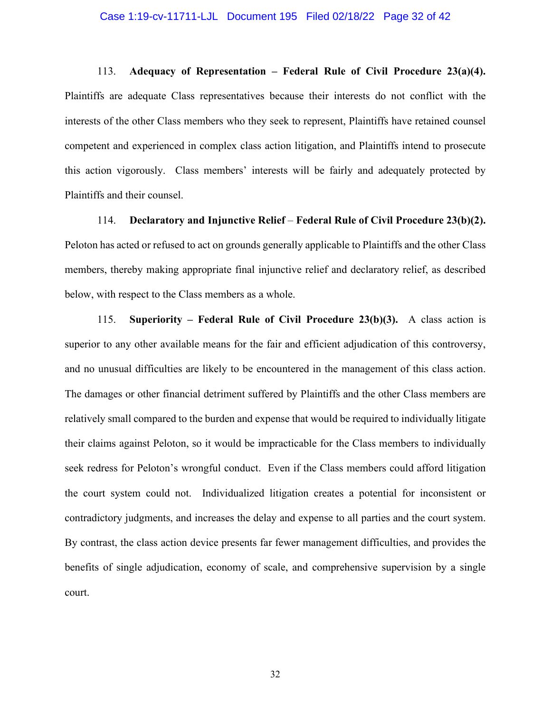#### Case 1:19-cv-11711-LJL Document 195 Filed 02/18/22 Page 32 of 42

113. **Adequacy of Representation – Federal Rule of Civil Procedure 23(a)(4).**  Plaintiffs are adequate Class representatives because their interests do not conflict with the interests of the other Class members who they seek to represent, Plaintiffs have retained counsel competent and experienced in complex class action litigation, and Plaintiffs intend to prosecute this action vigorously. Class members' interests will be fairly and adequately protected by Plaintiffs and their counsel.

114. **Declaratory and Injunctive Relief** – **Federal Rule of Civil Procedure 23(b)(2).**  Peloton has acted or refused to act on grounds generally applicable to Plaintiffs and the other Class members, thereby making appropriate final injunctive relief and declaratory relief, as described below, with respect to the Class members as a whole.

115. **Superiority – Federal Rule of Civil Procedure 23(b)(3).** A class action is superior to any other available means for the fair and efficient adjudication of this controversy, and no unusual difficulties are likely to be encountered in the management of this class action. The damages or other financial detriment suffered by Plaintiffs and the other Class members are relatively small compared to the burden and expense that would be required to individually litigate their claims against Peloton, so it would be impracticable for the Class members to individually seek redress for Peloton's wrongful conduct. Even if the Class members could afford litigation the court system could not. Individualized litigation creates a potential for inconsistent or contradictory judgments, and increases the delay and expense to all parties and the court system. By contrast, the class action device presents far fewer management difficulties, and provides the benefits of single adjudication, economy of scale, and comprehensive supervision by a single court.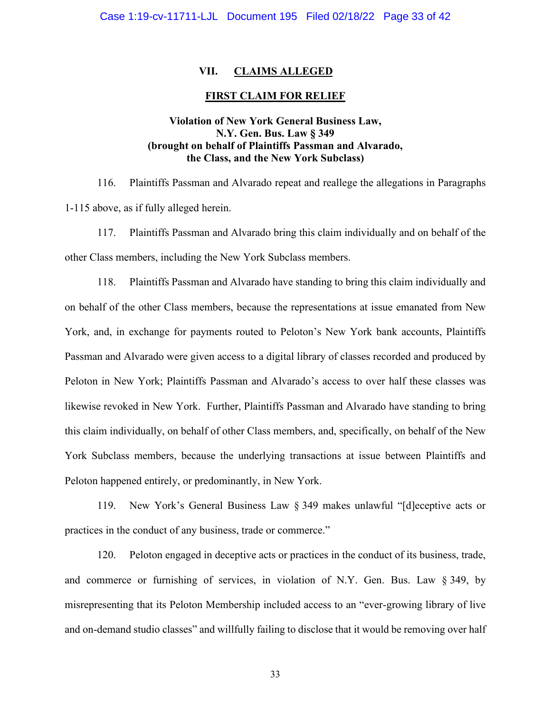## **VII. CLAIMS ALLEGED**

## **FIRST CLAIM FOR RELIEF**

# **Violation of New York General Business Law, N.Y. Gen. Bus. Law § 349 (brought on behalf of Plaintiffs Passman and Alvarado, the Class, and the New York Subclass)**

116. Plaintiffs Passman and Alvarado repeat and reallege the allegations in Paragraphs 1-115 above, as if fully alleged herein.

117. Plaintiffs Passman and Alvarado bring this claim individually and on behalf of the other Class members, including the New York Subclass members.

118. Plaintiffs Passman and Alvarado have standing to bring this claim individually and on behalf of the other Class members, because the representations at issue emanated from New York, and, in exchange for payments routed to Peloton's New York bank accounts, Plaintiffs Passman and Alvarado were given access to a digital library of classes recorded and produced by Peloton in New York; Plaintiffs Passman and Alvarado's access to over half these classes was likewise revoked in New York. Further, Plaintiffs Passman and Alvarado have standing to bring this claim individually, on behalf of other Class members, and, specifically, on behalf of the New York Subclass members, because the underlying transactions at issue between Plaintiffs and Peloton happened entirely, or predominantly, in New York.

119. New York's General Business Law § 349 makes unlawful "[d]eceptive acts or practices in the conduct of any business, trade or commerce."

120. Peloton engaged in deceptive acts or practices in the conduct of its business, trade, and commerce or furnishing of services, in violation of N.Y. Gen. Bus. Law § 349, by misrepresenting that its Peloton Membership included access to an "ever-growing library of live and on-demand studio classes" and willfully failing to disclose that it would be removing over half

33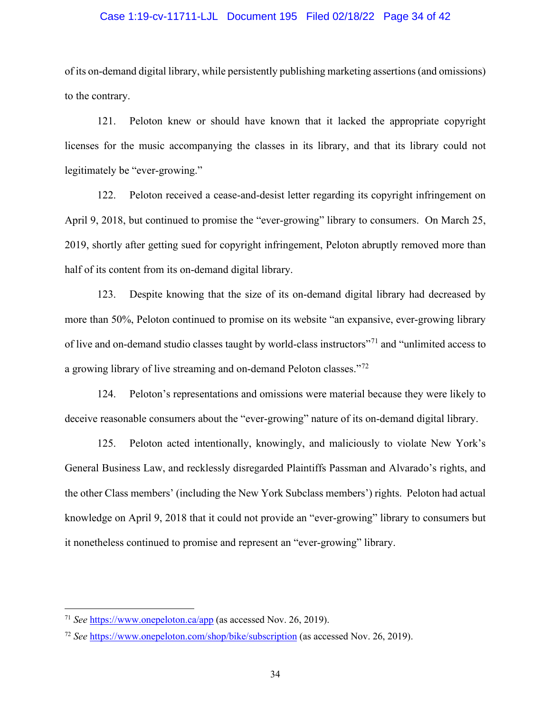#### Case 1:19-cv-11711-LJL Document 195 Filed 02/18/22 Page 34 of 42

of its on-demand digital library, while persistently publishing marketing assertions (and omissions) to the contrary.

121. Peloton knew or should have known that it lacked the appropriate copyright licenses for the music accompanying the classes in its library, and that its library could not legitimately be "ever-growing."

122. Peloton received a cease-and-desist letter regarding its copyright infringement on April 9, 2018, but continued to promise the "ever-growing" library to consumers. On March 25, 2019, shortly after getting sued for copyright infringement, Peloton abruptly removed more than half of its content from its on-demand digital library.

123. Despite knowing that the size of its on-demand digital library had decreased by more than 50%, Peloton continued to promise on its website "an expansive, ever-growing library of live and on-demand studio classes taught by world-class instructors"[71](#page-33-0) and "unlimited access to a growing library of live streaming and on-demand Peloton classes."[72](#page-33-1)

124. Peloton's representations and omissions were material because they were likely to deceive reasonable consumers about the "ever-growing" nature of its on-demand digital library.

125. Peloton acted intentionally, knowingly, and maliciously to violate New York's General Business Law, and recklessly disregarded Plaintiffs Passman and Alvarado's rights, and the other Class members' (including the New York Subclass members') rights. Peloton had actual knowledge on April 9, 2018 that it could not provide an "ever-growing" library to consumers but it nonetheless continued to promise and represent an "ever-growing" library.

<span id="page-33-0"></span><sup>71</sup> *See* <https://www.onepeloton.ca/app> (as accessed Nov. 26, 2019).

<span id="page-33-1"></span><sup>72</sup> *See* <https://www.onepeloton.com/shop/bike/subscription> (as accessed Nov. 26, 2019).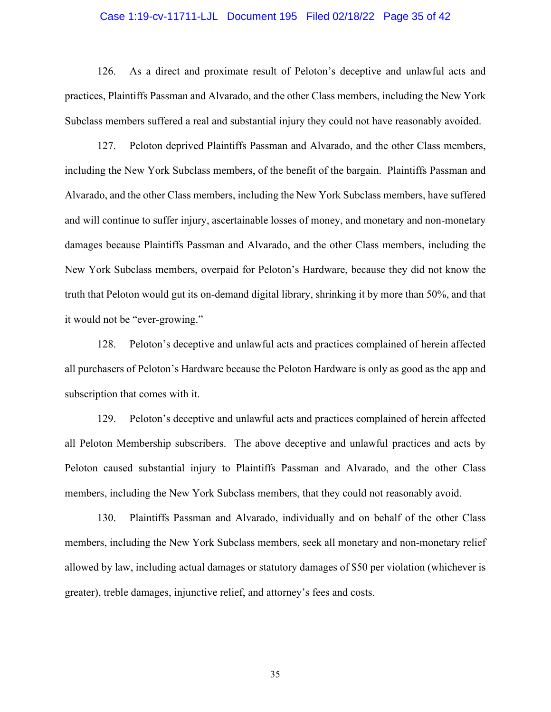#### Case 1:19-cv-11711-LJL Document 195 Filed 02/18/22 Page 35 of 42

126. As a direct and proximate result of Peloton's deceptive and unlawful acts and practices, Plaintiffs Passman and Alvarado, and the other Class members, including the New York Subclass members suffered a real and substantial injury they could not have reasonably avoided.

127. Peloton deprived Plaintiffs Passman and Alvarado, and the other Class members, including the New York Subclass members, of the benefit of the bargain. Plaintiffs Passman and Alvarado, and the other Class members, including the New York Subclass members, have suffered and will continue to suffer injury, ascertainable losses of money, and monetary and non-monetary damages because Plaintiffs Passman and Alvarado, and the other Class members, including the New York Subclass members, overpaid for Peloton's Hardware, because they did not know the truth that Peloton would gut its on-demand digital library, shrinking it by more than 50%, and that it would not be "ever-growing."

128. Peloton's deceptive and unlawful acts and practices complained of herein affected all purchasers of Peloton's Hardware because the Peloton Hardware is only as good as the app and subscription that comes with it.

129. Peloton's deceptive and unlawful acts and practices complained of herein affected all Peloton Membership subscribers. The above deceptive and unlawful practices and acts by Peloton caused substantial injury to Plaintiffs Passman and Alvarado, and the other Class members, including the New York Subclass members, that they could not reasonably avoid.

130. Plaintiffs Passman and Alvarado, individually and on behalf of the other Class members, including the New York Subclass members, seek all monetary and non-monetary relief allowed by law, including actual damages or statutory damages of \$50 per violation (whichever is greater), treble damages, injunctive relief, and attorney's fees and costs.

35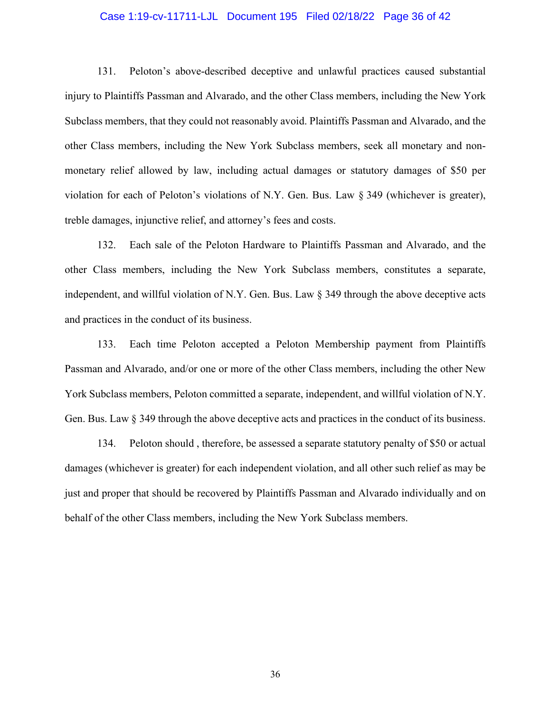## Case 1:19-cv-11711-LJL Document 195 Filed 02/18/22 Page 36 of 42

131. Peloton's above-described deceptive and unlawful practices caused substantial injury to Plaintiffs Passman and Alvarado, and the other Class members, including the New York Subclass members, that they could not reasonably avoid. Plaintiffs Passman and Alvarado, and the other Class members, including the New York Subclass members, seek all monetary and nonmonetary relief allowed by law, including actual damages or statutory damages of \$50 per violation for each of Peloton's violations of N.Y. Gen. Bus. Law § 349 (whichever is greater), treble damages, injunctive relief, and attorney's fees and costs.

132. Each sale of the Peloton Hardware to Plaintiffs Passman and Alvarado, and the other Class members, including the New York Subclass members, constitutes a separate, independent, and willful violation of N.Y. Gen. Bus. Law § 349 through the above deceptive acts and practices in the conduct of its business.

133. Each time Peloton accepted a Peloton Membership payment from Plaintiffs Passman and Alvarado, and/or one or more of the other Class members, including the other New York Subclass members, Peloton committed a separate, independent, and willful violation of N.Y. Gen. Bus. Law § 349 through the above deceptive acts and practices in the conduct of its business.

134. Peloton should , therefore, be assessed a separate statutory penalty of \$50 or actual damages (whichever is greater) for each independent violation, and all other such relief as may be just and proper that should be recovered by Plaintiffs Passman and Alvarado individually and on behalf of the other Class members, including the New York Subclass members.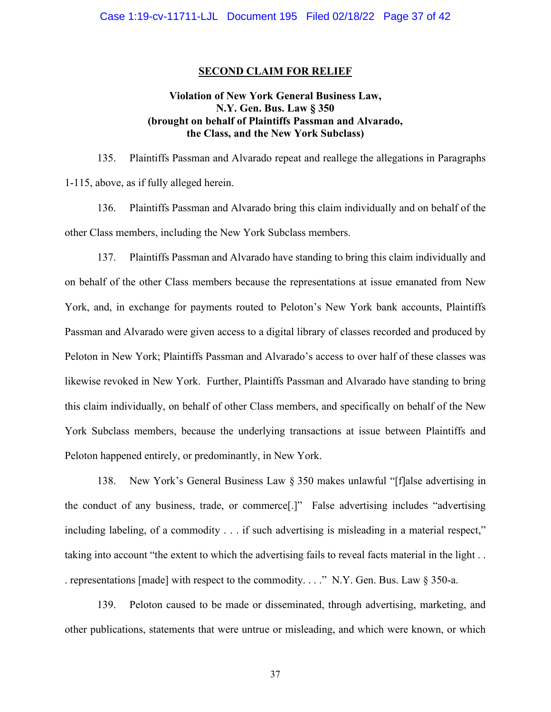#### **SECOND CLAIM FOR RELIEF**

# **Violation of New York General Business Law, N.Y. Gen. Bus. Law § 350 (brought on behalf of Plaintiffs Passman and Alvarado, the Class, and the New York Subclass)**

135. Plaintiffs Passman and Alvarado repeat and reallege the allegations in Paragraphs 1-115, above, as if fully alleged herein.

136. Plaintiffs Passman and Alvarado bring this claim individually and on behalf of the other Class members, including the New York Subclass members.

137. Plaintiffs Passman and Alvarado have standing to bring this claim individually and on behalf of the other Class members because the representations at issue emanated from New York, and, in exchange for payments routed to Peloton's New York bank accounts, Plaintiffs Passman and Alvarado were given access to a digital library of classes recorded and produced by Peloton in New York; Plaintiffs Passman and Alvarado's access to over half of these classes was likewise revoked in New York. Further, Plaintiffs Passman and Alvarado have standing to bring this claim individually, on behalf of other Class members, and specifically on behalf of the New York Subclass members, because the underlying transactions at issue between Plaintiffs and Peloton happened entirely, or predominantly, in New York.

138. New York's General Business Law § 350 makes unlawful "[f]alse advertising in the conduct of any business, trade, or commerce[.]" False advertising includes "advertising including labeling, of a commodity . . . if such advertising is misleading in a material respect," taking into account "the extent to which the advertising fails to reveal facts material in the light . . . representations [made] with respect to the commodity. . . ." N.Y. Gen. Bus. Law § 350-a.

139. Peloton caused to be made or disseminated, through advertising, marketing, and other publications, statements that were untrue or misleading, and which were known, or which

37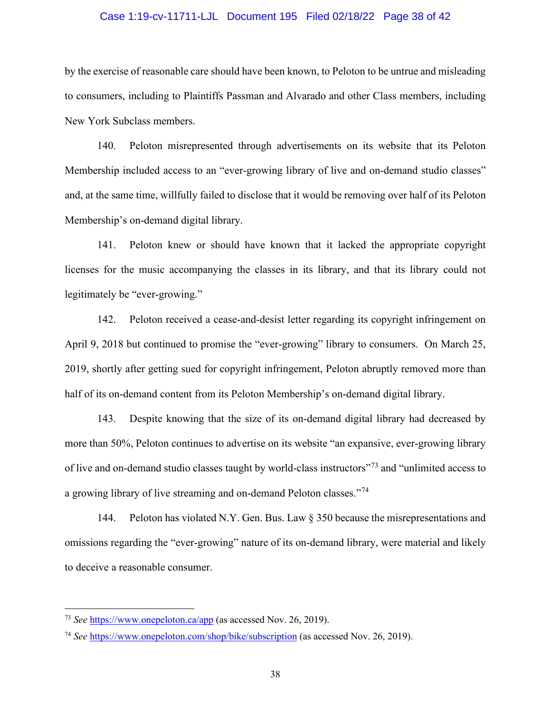#### Case 1:19-cv-11711-LJL Document 195 Filed 02/18/22 Page 38 of 42

by the exercise of reasonable care should have been known, to Peloton to be untrue and misleading to consumers, including to Plaintiffs Passman and Alvarado and other Class members, including New York Subclass members.

140. Peloton misrepresented through advertisements on its website that its Peloton Membership included access to an "ever-growing library of live and on-demand studio classes" and, at the same time, willfully failed to disclose that it would be removing over half of its Peloton Membership's on-demand digital library.

141. Peloton knew or should have known that it lacked the appropriate copyright licenses for the music accompanying the classes in its library, and that its library could not legitimately be "ever-growing."

142. Peloton received a cease-and-desist letter regarding its copyright infringement on April 9, 2018 but continued to promise the "ever-growing" library to consumers. On March 25, 2019, shortly after getting sued for copyright infringement, Peloton abruptly removed more than half of its on-demand content from its Peloton Membership's on-demand digital library.

143. Despite knowing that the size of its on-demand digital library had decreased by more than 50%, Peloton continues to advertise on its website "an expansive, ever-growing library of live and on-demand studio classes taught by world-class instructors"[73](#page-37-0) and "unlimited access to a growing library of live streaming and on-demand Peloton classes."[74](#page-37-1)

144. Peloton has violated N.Y. Gen. Bus. Law § 350 because the misrepresentations and omissions regarding the "ever-growing" nature of its on-demand library, were material and likely to deceive a reasonable consumer.

<span id="page-37-0"></span><sup>73</sup> *See* <https://www.onepeloton.ca/app> (as accessed Nov. 26, 2019).

<span id="page-37-1"></span><sup>74</sup> *See* <https://www.onepeloton.com/shop/bike/subscription> (as accessed Nov. 26, 2019).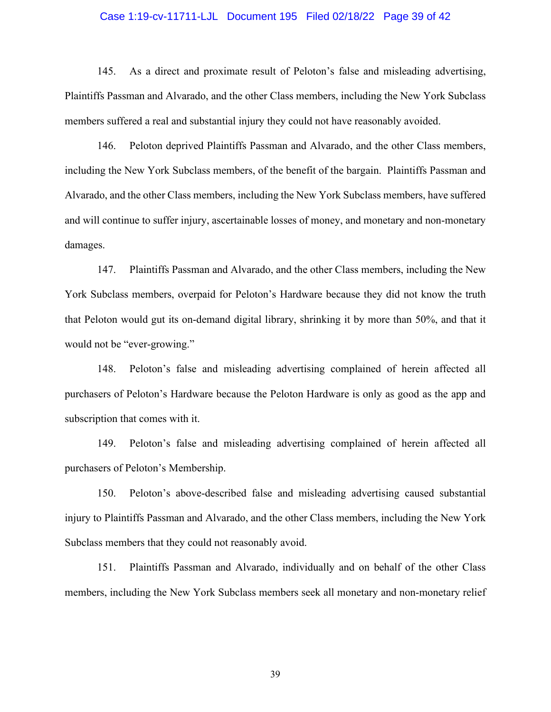#### Case 1:19-cv-11711-LJL Document 195 Filed 02/18/22 Page 39 of 42

145. As a direct and proximate result of Peloton's false and misleading advertising, Plaintiffs Passman and Alvarado, and the other Class members, including the New York Subclass members suffered a real and substantial injury they could not have reasonably avoided.

146. Peloton deprived Plaintiffs Passman and Alvarado, and the other Class members, including the New York Subclass members, of the benefit of the bargain. Plaintiffs Passman and Alvarado, and the other Class members, including the New York Subclass members, have suffered and will continue to suffer injury, ascertainable losses of money, and monetary and non-monetary damages.

147. Plaintiffs Passman and Alvarado, and the other Class members, including the New York Subclass members, overpaid for Peloton's Hardware because they did not know the truth that Peloton would gut its on-demand digital library, shrinking it by more than 50%, and that it would not be "ever-growing."

148. Peloton's false and misleading advertising complained of herein affected all purchasers of Peloton's Hardware because the Peloton Hardware is only as good as the app and subscription that comes with it.

149. Peloton's false and misleading advertising complained of herein affected all purchasers of Peloton's Membership.

150. Peloton's above-described false and misleading advertising caused substantial injury to Plaintiffs Passman and Alvarado, and the other Class members, including the New York Subclass members that they could not reasonably avoid.

151. Plaintiffs Passman and Alvarado, individually and on behalf of the other Class members, including the New York Subclass members seek all monetary and non-monetary relief

39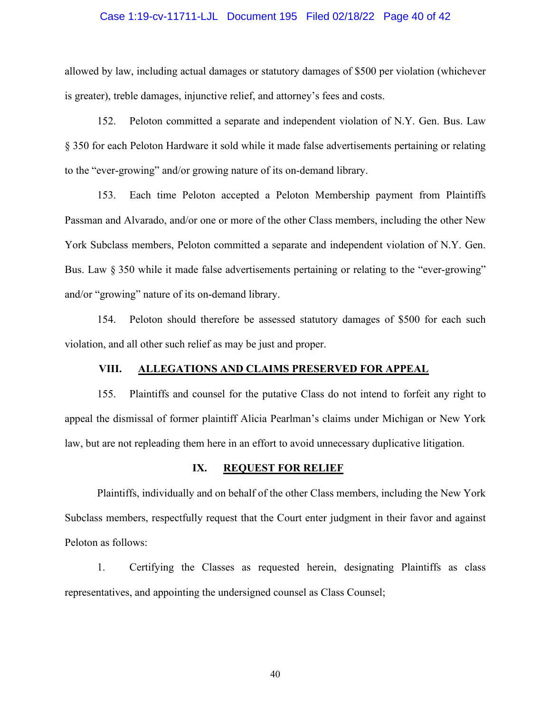# Case 1:19-cv-11711-LJL Document 195 Filed 02/18/22 Page 40 of 42

allowed by law, including actual damages or statutory damages of \$500 per violation (whichever is greater), treble damages, injunctive relief, and attorney's fees and costs.

152. Peloton committed a separate and independent violation of N.Y. Gen. Bus. Law § 350 for each Peloton Hardware it sold while it made false advertisements pertaining or relating to the "ever-growing" and/or growing nature of its on-demand library.

153. Each time Peloton accepted a Peloton Membership payment from Plaintiffs Passman and Alvarado, and/or one or more of the other Class members, including the other New York Subclass members, Peloton committed a separate and independent violation of N.Y. Gen. Bus. Law § 350 while it made false advertisements pertaining or relating to the "ever-growing" and/or "growing" nature of its on-demand library.

154. Peloton should therefore be assessed statutory damages of \$500 for each such violation, and all other such relief as may be just and proper.

## **VIII. ALLEGATIONS AND CLAIMS PRESERVED FOR APPEAL**

155. Plaintiffs and counsel for the putative Class do not intend to forfeit any right to appeal the dismissal of former plaintiff Alicia Pearlman's claims under Michigan or New York law, but are not repleading them here in an effort to avoid unnecessary duplicative litigation.

#### **IX. REQUEST FOR RELIEF**

Plaintiffs, individually and on behalf of the other Class members, including the New York Subclass members, respectfully request that the Court enter judgment in their favor and against Peloton as follows:

1. Certifying the Classes as requested herein, designating Plaintiffs as class representatives, and appointing the undersigned counsel as Class Counsel;

40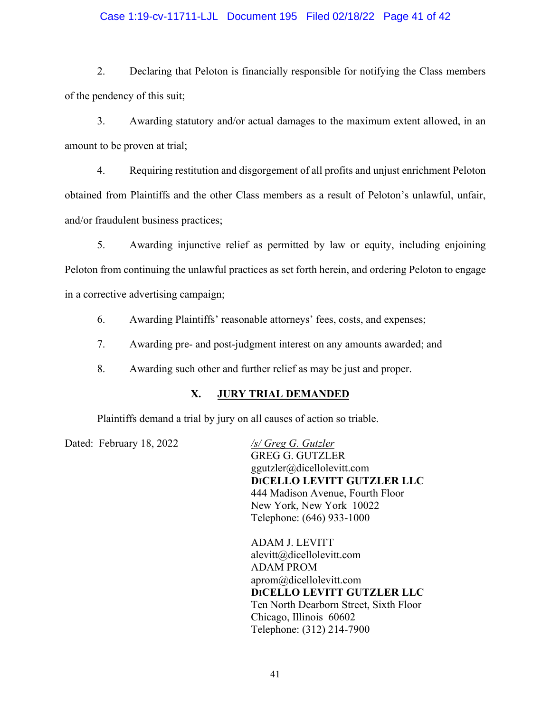## Case 1:19-cv-11711-LJL Document 195 Filed 02/18/22 Page 41 of 42

2. Declaring that Peloton is financially responsible for notifying the Class members of the pendency of this suit;

3. Awarding statutory and/or actual damages to the maximum extent allowed, in an amount to be proven at trial;

4. Requiring restitution and disgorgement of all profits and unjust enrichment Peloton obtained from Plaintiffs and the other Class members as a result of Peloton's unlawful, unfair, and/or fraudulent business practices;

5. Awarding injunctive relief as permitted by law or equity, including enjoining Peloton from continuing the unlawful practices as set forth herein, and ordering Peloton to engage in a corrective advertising campaign;

6. Awarding Plaintiffs' reasonable attorneys' fees, costs, and expenses;

7. Awarding pre- and post-judgment interest on any amounts awarded; and

8. Awarding such other and further relief as may be just and proper.

## **X. JURY TRIAL DEMANDED**

Plaintiffs demand a trial by jury on all causes of action so triable.

Dated: February 18, 2022 */s/ Greg G. Gutzler* 

GREG G. GUTZLER ggutzler@dicellolevitt.com **DICELLO LEVITT GUTZLER LLC** 444 Madison Avenue, Fourth Floor New York, New York 10022 Telephone: (646) 933-1000

ADAM J. LEVITT alevitt@dicellolevitt.com ADAM PROM [aprom@dicellolevitt.com](mailto:aprom@dicellolevitt.com) **DICELLO LEVITT GUTZLER LLC** Ten North Dearborn Street, Sixth Floor Chicago, Illinois 60602 Telephone: (312) 214-7900